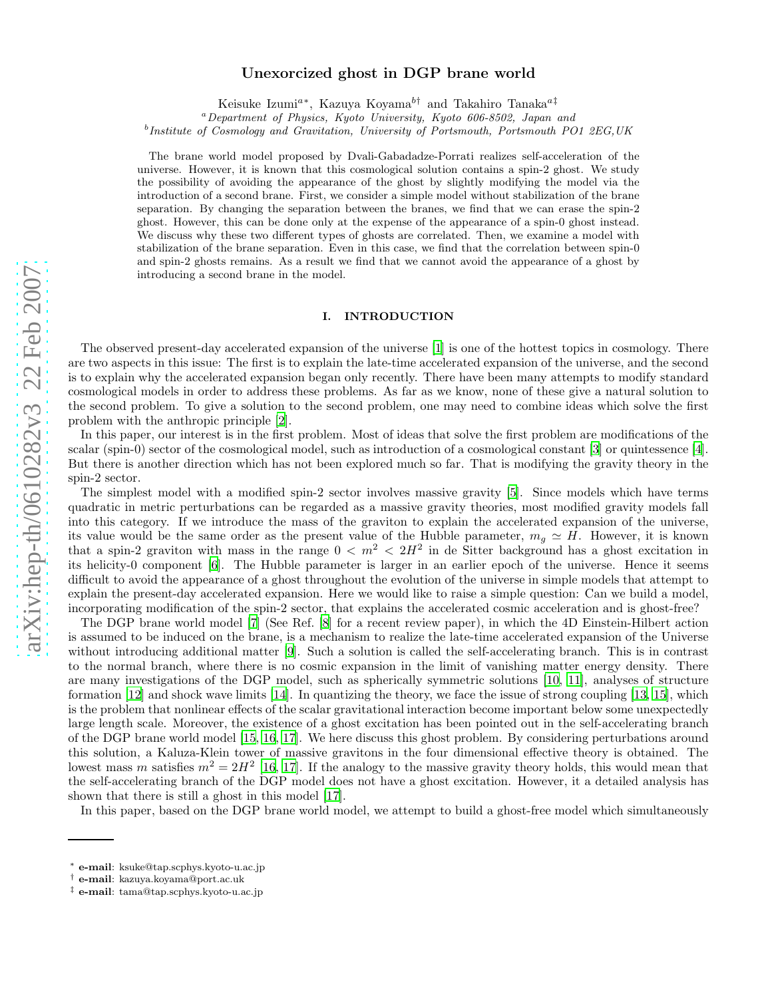# arXiv:hep-th/0610282v3 22 Feb 2007 [arXiv:hep-th/0610282v3 22 Feb 2007](http://arXiv.org/abs/hep-th/0610282v3)

# Unexorcized ghost in DGP brane world

Keisuke Izumi<sup>a\*</sup>, Kazuya Koyama<sup>b†</sup> and Takahiro Tanaka<sup>a‡</sup>

<sup>a</sup>Department of Physics, Kyoto University, Kyoto 606-8502, Japan and

<sup>b</sup>Institute of Cosmology and Gravitation, University of Portsmouth, Portsmouth PO1 2EG, UK

The brane world model proposed by Dvali-Gabadadze-Porrati realizes self-acceleration of the universe. However, it is known that this cosmological solution contains a spin-2 ghost. We study the possibility of avoiding the appearance of the ghost by slightly modifying the model via the introduction of a second brane. First, we consider a simple model without stabilization of the brane separation. By changing the separation between the branes, we find that we can erase the spin-2 ghost. However, this can be done only at the expense of the appearance of a spin-0 ghost instead. We discuss why these two different types of ghosts are correlated. Then, we examine a model with stabilization of the brane separation. Even in this case, we find that the correlation between spin-0 and spin-2 ghosts remains. As a result we find that we cannot avoid the appearance of a ghost by introducing a second brane in the model.

# I. INTRODUCTION

The observed present-day accelerated expansion of the universe [\[1](#page-18-0)] is one of the hottest topics in cosmology. There are two aspects in this issue: The first is to explain the late-time accelerated expansion of the universe, and the second is to explain why the accelerated expansion began only recently. There have been many attempts to modify standard cosmological models in order to address these problems. As far as we know, none of these give a natural solution to the second problem. To give a solution to the second problem, one may need to combine ideas which solve the first problem with the anthropic principle [\[2](#page-18-1)].

In this paper, our interest is in the first problem. Most of ideas that solve the first problem are modifications of the scalar (spin-0) sector of the cosmological model, such as introduction of a cosmological constant [\[3](#page-18-2)] or quintessence [\[4\]](#page-18-3). But there is another direction which has not been explored much so far. That is modifying the gravity theory in the spin-2 sector.

The simplest model with a modified spin-2 sector involves massive gravity [\[5\]](#page-18-4). Since models which have terms quadratic in metric perturbations can be regarded as a massive gravity theories, most modified gravity models fall into this category. If we introduce the mass of the graviton to explain the accelerated expansion of the universe, its value would be the same order as the present value of the Hubble parameter,  $m_g \simeq H$ . However, it is known that a spin-2 graviton with mass in the range  $0 < m^2 < 2H^2$  in de Sitter background has a ghost excitation in its helicity-0 component [\[6\]](#page-18-5). The Hubble parameter is larger in an earlier epoch of the universe. Hence it seems difficult to avoid the appearance of a ghost throughout the evolution of the universe in simple models that attempt to explain the present-day accelerated expansion. Here we would like to raise a simple question: Can we build a model, incorporating modification of the spin-2 sector, that explains the accelerated cosmic acceleration and is ghost-free?

The DGP brane world model [\[7\]](#page-18-6) (See Ref. [\[8\]](#page-18-7) for a recent review paper), in which the 4D Einstein-Hilbert action is assumed to be induced on the brane, is a mechanism to realize the late-time accelerated expansion of the Universe without introducing additional matter [\[9\]](#page-18-8). Such a solution is called the self-accelerating branch. This is in contrast to the normal branch, where there is no cosmic expansion in the limit of vanishing matter energy density. There are many investigations of the DGP model, such as spherically symmetric solutions [\[10,](#page-18-9) [11\]](#page-18-10), analyses of structure formation [\[12\]](#page-18-11) and shock wave limits [\[14\]](#page-18-12). In quantizing the theory, we face the issue of strong coupling [\[13,](#page-18-13) [15\]](#page-18-14), which is the problem that nonlinear effects of the scalar gravitational interaction become important below some unexpectedly large length scale. Moreover, the existence of a ghost excitation has been pointed out in the self-accelerating branch of the DGP brane world model [\[15,](#page-18-14) [16,](#page-18-15) [17](#page-18-16)]. We here discuss this ghost problem. By considering perturbations around this solution, a Kaluza-Klein tower of massive gravitons in the four dimensional effective theory is obtained. The lowest mass m satisfies  $m^2 = 2H^2$  [\[16,](#page-18-15) [17\]](#page-18-16). If the analogy to the massive gravity theory holds, this would mean that the self-accelerating branch of the DGP model does not have a ghost excitation. However, it a detailed analysis has shown that there is still a ghost in this model [\[17](#page-18-16)].

In this paper, based on the DGP brane world model, we attempt to build a ghost-free model which simultaneously

<sup>∗</sup> e-mail: ksuke@tap.scphys.kyoto-u.ac.jp

<sup>†</sup> e-mail: kazuya.koyama@port.ac.uk

<sup>‡</sup> e-mail: tama@tap.scphys.kyoto-u.ac.jp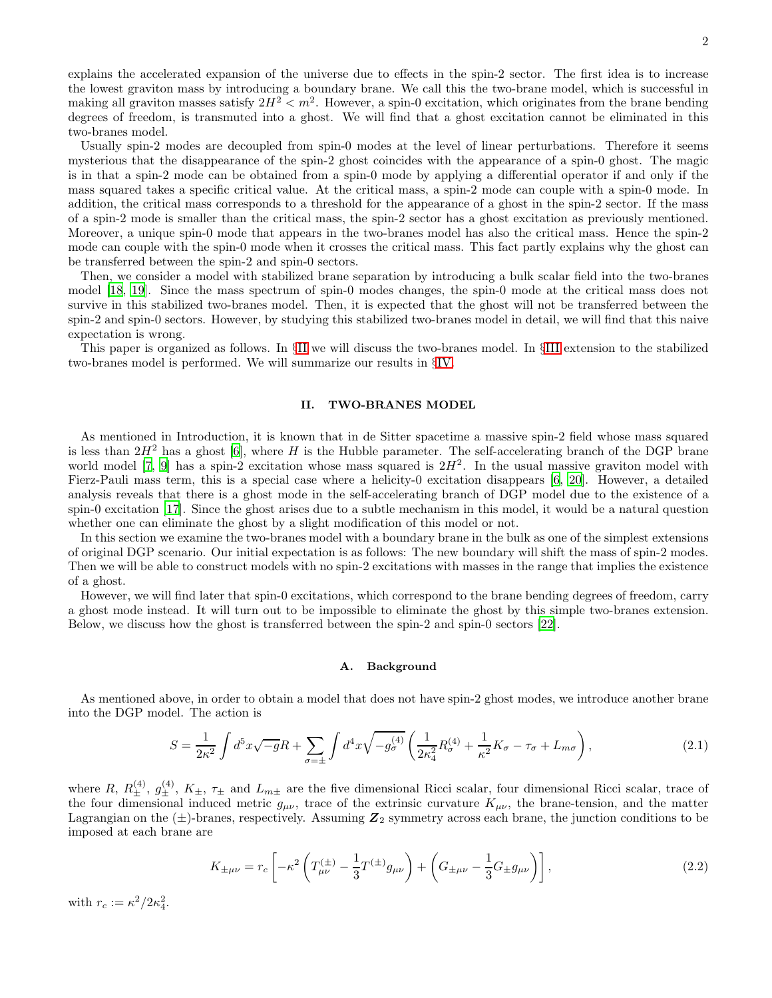explains the accelerated expansion of the universe due to effects in the spin-2 sector. The first idea is to increase the lowest graviton mass by introducing a boundary brane. We call this the two-brane model, which is successful in making all graviton masses satisfy  $2H^2 < m^2$ . However, a spin-0 excitation, which originates from the brane bending degrees of freedom, is transmuted into a ghost. We will find that a ghost excitation cannot be eliminated in this two-branes model.

Usually spin-2 modes are decoupled from spin-0 modes at the level of linear perturbations. Therefore it seems mysterious that the disappearance of the spin-2 ghost coincides with the appearance of a spin-0 ghost. The magic is in that a spin-2 mode can be obtained from a spin-0 mode by applying a differential operator if and only if the mass squared takes a specific critical value. At the critical mass, a spin-2 mode can couple with a spin-0 mode. In addition, the critical mass corresponds to a threshold for the appearance of a ghost in the spin-2 sector. If the mass of a spin-2 mode is smaller than the critical mass, the spin-2 sector has a ghost excitation as previously mentioned. Moreover, a unique spin-0 mode that appears in the two-branes model has also the critical mass. Hence the spin-2 mode can couple with the spin-0 mode when it crosses the critical mass. This fact partly explains why the ghost can be transferred between the spin-2 and spin-0 sectors.

Then, we consider a model with stabilized brane separation by introducing a bulk scalar field into the two-branes model [\[18](#page-18-17), [19\]](#page-18-18). Since the mass spectrum of spin-0 modes changes, the spin-0 mode at the critical mass does not survive in this stabilized two-branes model. Then, it is expected that the ghost will not be transferred between the spin-2 and spin-0 sectors. However, by studying this stabilized two-branes model in detail, we will find that this naive expectation is wrong.

This paper is organized as follows. In §[II](#page-1-0) we will discuss the two-branes model. In §[III](#page-7-0) extension to the stabilized two-branes model is performed. We will summarize our results in §[IV.](#page-13-0)

### <span id="page-1-0"></span>II. TWO-BRANES MODEL

As mentioned in Introduction, it is known that in de Sitter spacetime a massive spin-2 field whose mass squared is less than  $2H^2$  has a ghost [\[6](#page-18-5)], where H is the Hubble parameter. The self-accelerating branch of the DGP brane world model [\[7](#page-18-6), [9\]](#page-18-8) has a spin-2 excitation whose mass squared is  $2H^2$ . In the usual massive graviton model with Fierz-Pauli mass term, this is a special case where a helicity-0 excitation disappears [\[6](#page-18-5), [20\]](#page-18-19). However, a detailed analysis reveals that there is a ghost mode in the self-accelerating branch of DGP model due to the existence of a spin-0 excitation [\[17](#page-18-16)]. Since the ghost arises due to a subtle mechanism in this model, it would be a natural question whether one can eliminate the ghost by a slight modification of this model or not.

In this section we examine the two-branes model with a boundary brane in the bulk as one of the simplest extensions of original DGP scenario. Our initial expectation is as follows: The new boundary will shift the mass of spin-2 modes. Then we will be able to construct models with no spin-2 excitations with masses in the range that implies the existence of a ghost.

However, we will find later that spin-0 excitations, which correspond to the brane bending degrees of freedom, carry a ghost mode instead. It will turn out to be impossible to eliminate the ghost by this simple two-branes extension. Below, we discuss how the ghost is transferred between the spin-2 and spin-0 sectors [\[22\]](#page-18-20).

### A. Background

As mentioned above, in order to obtain a model that does not have spin-2 ghost modes, we introduce another brane into the DGP model. The action is

$$
S = \frac{1}{2\kappa^2} \int d^5 x \sqrt{-g} R + \sum_{\sigma = \pm} \int d^4 x \sqrt{-g_{\sigma}^{(4)}} \left( \frac{1}{2\kappa_4^2} R_{\sigma}^{(4)} + \frac{1}{\kappa^2} K_{\sigma} - \tau_{\sigma} + L_{m\sigma} \right), \tag{2.1}
$$

where  $R, R_{\pm}^{(4)}, g_{\pm}^{(4)}, K_{\pm}, \tau_{\pm}$  and  $L_{m\pm}$  are the five dimensional Ricci scalar, four dimensional Ricci scalar, trace of the four dimensional induced metric  $g_{\mu\nu}$ , trace of the extrinsic curvature  $K_{\mu\nu}$ , the brane-tension, and the matter Lagrangian on the  $(\pm)$ -branes, respectively. Assuming  $\mathbb{Z}_2$  symmetry across each brane, the junction conditions to be imposed at each brane are

<span id="page-1-1"></span>
$$
K_{\pm\mu\nu} = r_c \left[ -\kappa^2 \left( T_{\mu\nu}^{(\pm)} - \frac{1}{3} T^{(\pm)} g_{\mu\nu} \right) + \left( G_{\pm\mu\nu} - \frac{1}{3} G_{\pm} g_{\mu\nu} \right) \right],
$$
 (2.2)

with  $r_c := \kappa^2/2\kappa_4^2$ .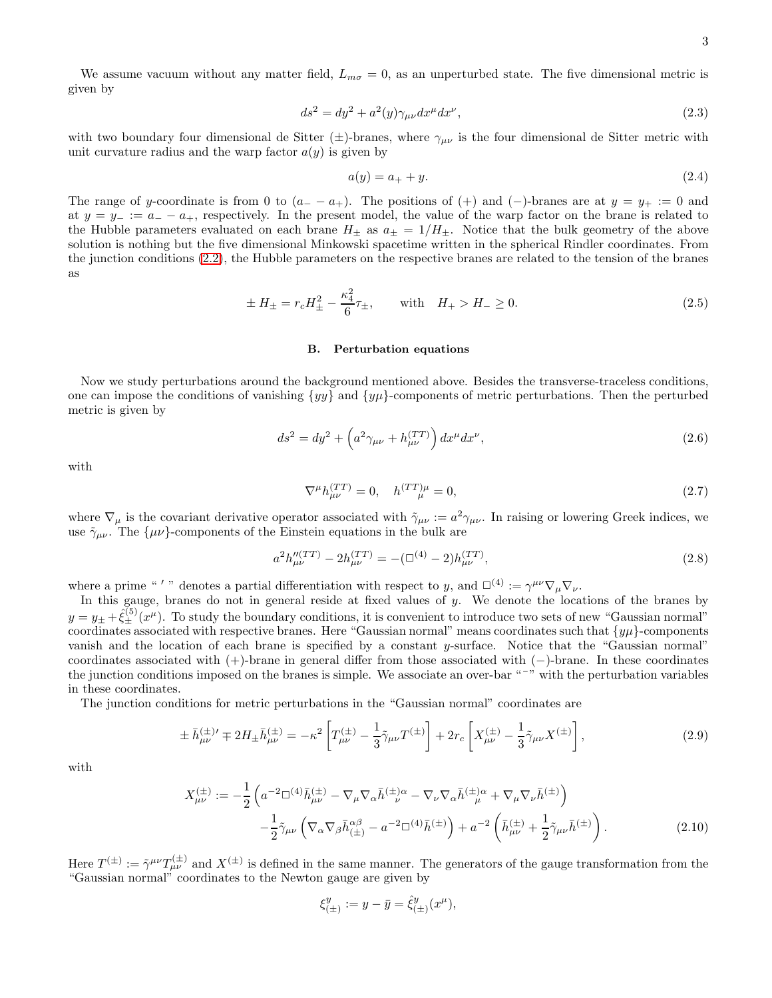We assume vacuum without any matter field,  $L_{m\sigma} = 0$ , as an unperturbed state. The five dimensional metric is given by

<span id="page-2-1"></span>
$$
ds^2 = dy^2 + a^2(y)\gamma_{\mu\nu}dx^{\mu}dx^{\nu},\tag{2.3}
$$

with two boundary four dimensional de Sitter ( $\pm$ )-branes, where  $\gamma_{\mu\nu}$  is the four dimensional de Sitter metric with unit curvature radius and the warp factor  $a(y)$  is given by

$$
a(y) = a_+ + y.\t\t(2.4)
$$

The range of y-coordinate is from 0 to  $(a_ - - a_+)$ . The positions of  $(+)$  and  $(-)$ -branes are at  $y = y_+ := 0$  and at  $y = y = := a_+ - a_+$ , respectively. In the present model, the value of the warp factor on the brane is related to the Hubble parameters evaluated on each brane  $H_{\pm}$  as  $a_{\pm} = 1/H_{\pm}$ . Notice that the bulk geometry of the above solution is nothing but the five dimensional Minkowski spacetime written in the spherical Rindler coordinates. From the junction conditions [\(2.2\)](#page-1-1), the Hubble parameters on the respective branes are related to the tension of the branes as

$$
\pm H_{\pm} = r_c H_{\pm}^2 - \frac{\kappa_4^2}{6} \tau_{\pm}, \quad \text{with} \quad H_{+} > H_{-} \ge 0. \tag{2.5}
$$

### B. Perturbation equations

Now we study perturbations around the background mentioned above. Besides the transverse-traceless conditions, one can impose the conditions of vanishing  $\{yy\}$  and  $\{yy\}$ -components of metric perturbations. Then the perturbed metric is given by

$$
ds^{2} = dy^{2} + \left(a^{2}\gamma_{\mu\nu} + h_{\mu\nu}^{(TT)}\right)dx^{\mu}dx^{\nu},
$$
\n(2.6)

with

$$
\nabla^{\mu}h_{\mu\nu}^{(TT)} = 0, \quad h^{(TT)\mu} = 0,
$$
\n(2.7)

where  $\nabla_{\mu}$  is the covariant derivative operator associated with  $\tilde{\gamma}_{\mu\nu} := a^2 \gamma_{\mu\nu}$ . In raising or lowering Greek indices, we use  $\tilde{\gamma}_{\mu\nu}$ . The  $\{\mu\nu\}$ -components of the Einstein equations in the bulk are

$$
a^2 h_{\mu\nu}^{\prime\prime}(TT) - 2h_{\mu\nu}^{(TT)} = -(\square^{(4)} - 2)h_{\mu\nu}^{(TT)},\tag{2.8}
$$

where a prime "'" denotes a partial differentiation with respect to y, and  $\square^{(4)} := \gamma^{\mu\nu} \nabla_{\mu} \nabla_{\nu}$ .

In this gauge, branes do not in general reside at fixed values of y. We denote the locations of the branes by  $y = y_{\pm} + \hat{\xi}_{\pm}^{(5)}(x^{\mu})$ . To study the boundary conditions, it is convenient to introduce two sets of new "Gaussian normal" coordinates associated with respective branes. Here "Gaussian normal" means coordinates such that  $\{y\mu\}$ -components vanish and the location of each brane is specified by a constant y-surface. Notice that the "Gaussian normal" coordinates associated with (+)-brane in general differ from those associated with (−)-brane. In these coordinates the junction conditions imposed on the branes is simple. We associate an over-bar " $\sigma$ " with the perturbation variables in these coordinates.

The junction conditions for metric perturbations in the "Gaussian normal" coordinates are

<span id="page-2-0"></span>
$$
\pm \bar{h}^{(\pm)}_{\mu\nu} \mp 2H_{\pm} \bar{h}^{(\pm)}_{\mu\nu} = -\kappa^2 \left[ T^{(\pm)}_{\mu\nu} - \frac{1}{3} \tilde{\gamma}_{\mu\nu} T^{(\pm)} \right] + 2r_c \left[ X^{(\pm)}_{\mu\nu} - \frac{1}{3} \tilde{\gamma}_{\mu\nu} X^{(\pm)} \right],\tag{2.9}
$$

with

<span id="page-2-2"></span>
$$
X_{\mu\nu}^{(\pm)} := -\frac{1}{2} \left( a^{-2} \Box^{(4)} \bar{h}_{\mu\nu}^{(\pm)} - \nabla_{\mu} \nabla_{\alpha} \bar{h}_{\nu}^{(\pm)} - \nabla_{\nu} \nabla_{\alpha} \bar{h}_{\mu}^{(\pm)} + \nabla_{\mu} \nabla_{\nu} \bar{h}_{\nu}^{(\pm)} \right) - \frac{1}{2} \tilde{\gamma}_{\mu\nu} \left( \nabla_{\alpha} \nabla_{\beta} \bar{h}_{(\pm)}^{\alpha\beta} - a^{-2} \Box^{(4)} \bar{h}_{\nu}^{(\pm)} \right) + a^{-2} \left( \bar{h}_{\mu\nu}^{(\pm)} + \frac{1}{2} \tilde{\gamma}_{\mu\nu} \bar{h}_{\nu}^{(\pm)} \right).
$$
 (2.10)

Here  $T^{(\pm)} := \tilde{\gamma}^{\mu\nu} T^{(\pm)}_{\mu\nu}$  and  $X^{(\pm)}$  is defined in the same manner. The generators of the gauge transformation from the "Gaussian normal" coordinates to the Newton gauge are given by

$$
\xi_{(\pm)}^y := y - \bar{y} = \hat{\xi}_{(\pm)}^y(x^\mu),
$$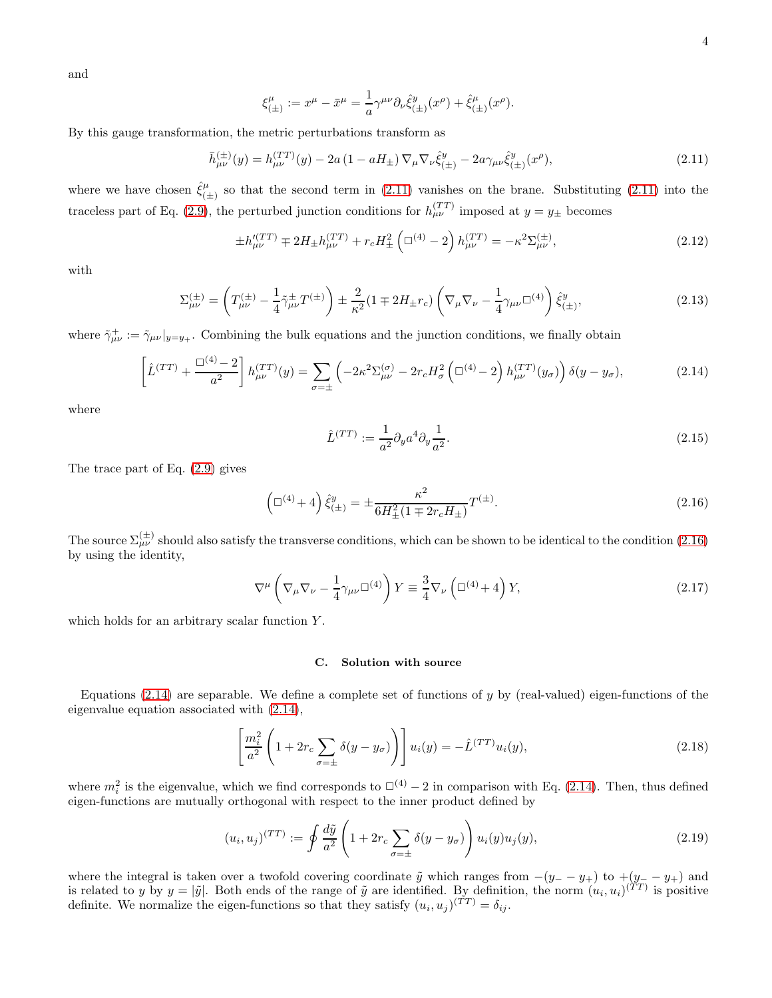and

$$
\xi_{(\pm)}^{\mu} := x^{\mu} - \bar{x}^{\mu} = \frac{1}{a} \gamma^{\mu \nu} \partial_{\nu} \hat{\xi}_{(\pm)}^{y}(x^{\rho}) + \hat{\xi}_{(\pm)}^{\mu}(x^{\rho}).
$$

By this gauge transformation, the metric perturbations transform as

<span id="page-3-0"></span>
$$
\bar{h}^{(\pm)}_{\mu\nu}(y) = h^{(TT)}_{\mu\nu}(y) - 2a(1 - aH_{\pm})\nabla_{\mu}\nabla_{\nu}\hat{\xi}^{y}_{(\pm)} - 2a\gamma_{\mu\nu}\hat{\xi}^{y}_{(\pm)}(x^{\rho}), \tag{2.11}
$$

where we have chosen  $\hat{\xi}^{\mu}_{\epsilon}$  $\binom{\mu}{(\pm)}$  so that the second term in [\(2.11\)](#page-3-0) vanishes on the brane. Substituting (2.11) into the traceless part of Eq. [\(2.9\)](#page-2-0), the perturbed junction conditions for  $h_{\mu\nu}^{(TT)}$  imposed at  $y = y_{\pm}$  becomes

$$
\pm h_{\mu\nu}^{(TT)} \mp 2H_{\pm}h_{\mu\nu}^{(TT)} + r_c H_{\pm}^2 \left(\Box^{(4)} - 2\right)h_{\mu\nu}^{(TT)} = -\kappa^2 \Sigma_{\mu\nu}^{(\pm)},\tag{2.12}
$$

with

$$
\Sigma_{\mu\nu}^{(\pm)} = \left( T_{\mu\nu}^{(\pm)} - \frac{1}{4} \tilde{\gamma}_{\mu\nu}^{\pm} T^{(\pm)} \right) \pm \frac{2}{\kappa^2} (1 \mp 2H_{\pm} r_c) \left( \nabla_{\mu} \nabla_{\nu} - \frac{1}{4} \gamma_{\mu\nu} \Box^{(4)} \right) \hat{\xi}_{(\pm)}^y, \tag{2.13}
$$

where  $\tilde{\gamma}^+_{\mu\nu} := \tilde{\gamma}_{\mu\nu}|_{y=y_+}$ . Combining the bulk equations and the junction conditions, we finally obtain

<span id="page-3-2"></span>
$$
\left[\hat{L}^{(TT)} + \frac{\Box^{(4)} - 2}{a^2}\right]h_{\mu\nu}^{(TT)}(y) = \sum_{\sigma = \pm} \left(-2\kappa^2 \Sigma_{\mu\nu}^{(\sigma)} - 2r_c H_{\sigma}^2 \left(\Box^{(4)} - 2\right)h_{\mu\nu}^{(TT)}(y_{\sigma})\right)\delta(y - y_{\sigma}),\tag{2.14}
$$

where

<span id="page-3-5"></span>
$$
\hat{L}^{(TT)} := \frac{1}{a^2} \partial_y a^4 \partial_y \frac{1}{a^2}.
$$
\n(2.15)

The trace part of Eq. [\(2.9\)](#page-2-0) gives

<span id="page-3-1"></span>
$$
\left(\Box^{(4)} + 4\right)\hat{\xi}_{(\pm)}^y = \pm \frac{\kappa^2}{6H_{\pm}^2(1 \mp 2r_cH_{\pm})}T^{(\pm)}.\tag{2.16}
$$

The source  $\Sigma_{\mu\nu}^{(\pm)}$  should also satisfy the transverse conditions, which can be shown to be identical to the condition [\(2.16\)](#page-3-1) by using the identity,

<span id="page-3-4"></span>
$$
\nabla^{\mu}\left(\nabla_{\mu}\nabla_{\nu} - \frac{1}{4}\gamma_{\mu\nu}\Box^{(4)}\right)Y \equiv \frac{3}{4}\nabla_{\nu}\left(\Box^{(4)} + 4\right)Y,\tag{2.17}
$$

which holds for an arbitrary scalar function Y.

## C. Solution with source

Equations [\(2.14\)](#page-3-2) are separable. We define a complete set of functions of y by (real-valued) eigen-functions of the eigenvalue equation associated with [\(2.14\)](#page-3-2),

<span id="page-3-3"></span>
$$
\left[\frac{m_i^2}{a^2}\left(1+2r_c\sum_{\sigma=\pm}\delta(y-y_\sigma)\right)\right]u_i(y)=-\hat{L}^{(TT)}u_i(y),\tag{2.18}
$$

where  $m_i^2$  is the eigenvalue, which we find corresponds to  $\Box^{(4)}$  – 2 in comparison with Eq. [\(2.14\)](#page-3-2). Then, thus defined eigen-functions are mutually orthogonal with respect to the inner product defined by

$$
(u_i, u_j)^{(TT)} := \oint \frac{d\tilde{y}}{a^2} \left( 1 + 2r_c \sum_{\sigma = \pm} \delta(y - y_\sigma) \right) u_i(y) u_j(y), \tag{2.19}
$$

where the integral is taken over a twofold covering coordinate  $\tilde{y}$  which ranges from  $-(y_--y_+)$  to  $+(y_--y_+)$  and is related to y by  $y = |\tilde{y}|$ . Both ends of the range of  $\tilde{y}$  are identified. By definition, the norm  $(u_i, u_i)^{(TT)}$  is positive definite. We normalize the eigen-functions so that they satisfy  $(u_i, u_j)^{(TT)} = \delta_{ij}$ .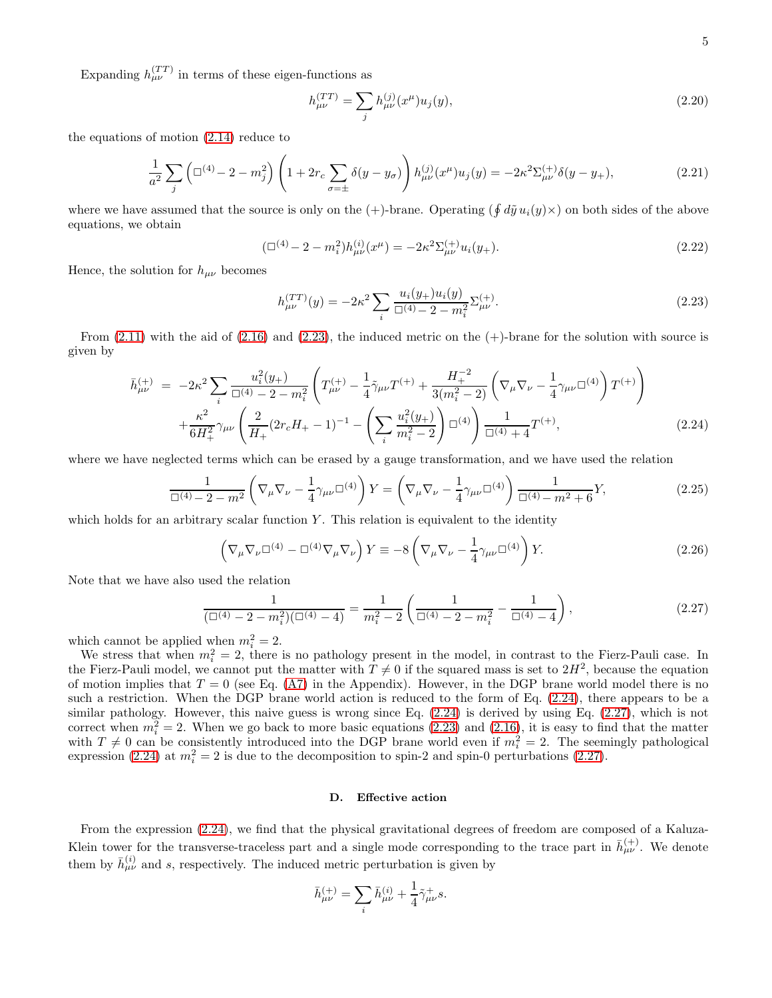Expanding  $h_{\mu\nu}^{(TT)}$  in terms of these eigen-functions as

$$
h_{\mu\nu}^{(TT)} = \sum_{j} h_{\mu\nu}^{(j)}(x^{\mu}) u_j(y), \qquad (2.20)
$$

the equations of motion [\(2.14\)](#page-3-2) reduce to

$$
\frac{1}{a^2} \sum_{j} \left( \Box^{(4)} - 2 - m_j^2 \right) \left( 1 + 2r_c \sum_{\sigma = \pm} \delta(y - y_\sigma) \right) h_{\mu\nu}^{(j)}(x^\mu) u_j(y) = -2\kappa^2 \Sigma_{\mu\nu}^{(+)} \delta(y - y_+), \tag{2.21}
$$

where we have assumed that the source is only on the  $(+)$ -brane. Operating  $(\oint d\tilde{y} u_i(y) \times)$  on both sides of the above equations, we obtain

$$
(\Box^{(4)} - 2 - m_i^2)h_{\mu\nu}^{(i)}(x^{\mu}) = -2\kappa^2 \Sigma_{\mu\nu}^{(+)} u_i(y_+).
$$
\n(2.22)

Hence, the solution for  $h_{\mu\nu}$  becomes

<span id="page-4-0"></span>
$$
h_{\mu\nu}^{(TT)}(y) = -2\kappa^2 \sum_{i} \frac{u_i(y_+)u_i(y)}{\Box^{(4)} - 2 - m_i^2} \Sigma_{\mu\nu}^{(+)}.
$$
\n(2.23)

From  $(2.11)$  with the aid of  $(2.16)$  and  $(2.23)$ , the induced metric on the  $(+)$ -brane for the solution with source is given by

<span id="page-4-1"></span>
$$
\bar{h}^{(+)}_{\mu\nu} = -2\kappa^2 \sum_{i} \frac{u_i^2(y_+)}{\Box^{(4)} - 2 - m_i^2} \left( T^{(+)}_{\mu\nu} - \frac{1}{4} \tilde{\gamma}_{\mu\nu} T^{(+)} + \frac{H_+^{-2}}{3(m_i^2 - 2)} \left( \nabla_\mu \nabla_\nu - \frac{1}{4} \gamma_{\mu\nu} \Box^{(4)} \right) T^{(+)} \right) \n+ \frac{\kappa^2}{6H_+^2} \gamma_{\mu\nu} \left( \frac{2}{H_+} (2r_c H_+ - 1)^{-1} - \left( \sum_i \frac{u_i^2(y_+)}{m_i^2 - 2} \right) \Box^{(4)} \right) \frac{1}{\Box^{(4)} + 4} T^{(+)},
$$
\n(2.24)

where we have neglected terms which can be erased by a gauge transformation, and we have used the relation

$$
\frac{1}{\Box^{(4)} - 2 - m^2} \left( \nabla_{\mu} \nabla_{\nu} - \frac{1}{4} \gamma_{\mu\nu} \Box^{(4)} \right) Y = \left( \nabla_{\mu} \nabla_{\nu} - \frac{1}{4} \gamma_{\mu\nu} \Box^{(4)} \right) \frac{1}{\Box^{(4)} - m^2 + 6} Y, \tag{2.25}
$$

which holds for an arbitrary scalar function  $Y$ . This relation is equivalent to the identity

<span id="page-4-3"></span>
$$
\left(\nabla_{\mu}\nabla_{\nu}\Box^{(4)} - \Box^{(4)}\nabla_{\mu}\nabla_{\nu}\right)Y \equiv -8\left(\nabla_{\mu}\nabla_{\nu} - \frac{1}{4}\gamma_{\mu\nu}\Box^{(4)}\right)Y.
$$
\n(2.26)

Note that we have also used the relation

<span id="page-4-2"></span>
$$
\frac{1}{(\Box^{(4)} - 2 - m_i^2)(\Box^{(4)} - 4)} = \frac{1}{m_i^2 - 2} \left( \frac{1}{\Box^{(4)} - 2 - m_i^2} - \frac{1}{\Box^{(4)} - 4} \right),\tag{2.27}
$$

which cannot be applied when  $m_i^2 = 2$ .

We stress that when  $m_i^2 = 2$ , there is no pathology present in the model, in contrast to the Fierz-Pauli case. In the Fierz-Pauli model, we cannot put the matter with  $T \neq 0$  if the squared mass is set to  $2H^2$ , because the equation of motion implies that  $T = 0$  (see Eq. [\(A7\)](#page-14-0) in the Appendix). However, in the DGP brane world model there is no such a restriction. When the DGP brane world action is reduced to the form of Eq. [\(2.24\)](#page-4-1), there appears to be a similar pathology. However, this naive guess is wrong since Eq. [\(2.24\)](#page-4-1) is derived by using Eq. [\(2.27\)](#page-4-2), which is not correct when  $m_i^2 = 2$ . When we go back to more basic equations [\(2.23\)](#page-4-0) and [\(2.16\)](#page-3-1), it is easy to find that the matter with  $T \neq 0$  can be consistently introduced into the DGP brane world even if  $m_i^2 = 2$ . The seemingly pathological expression [\(2.24\)](#page-4-1) at  $m_i^2 = 2$  is due to the decomposition to spin-2 and spin-0 perturbations [\(2.27\)](#page-4-2).

### <span id="page-4-4"></span>D. Effective action

From the expression [\(2.24\)](#page-4-1), we find that the physical gravitational degrees of freedom are composed of a Kaluza-Klein tower for the transverse-traceless part and a single mode corresponding to the trace part in  $\bar{h}^{(+)}_{\mu\nu}$ . We denote them by  $\bar{h}^{(i)}_{\mu\nu}$  and s, respectively. The induced metric perturbation is given by

$$
\bar{h}^{(+)}_{\mu\nu} = \sum_{i} \bar{h}^{(i)}_{\mu\nu} + \frac{1}{4} \tilde{\gamma}^{+}_{\mu\nu} s.
$$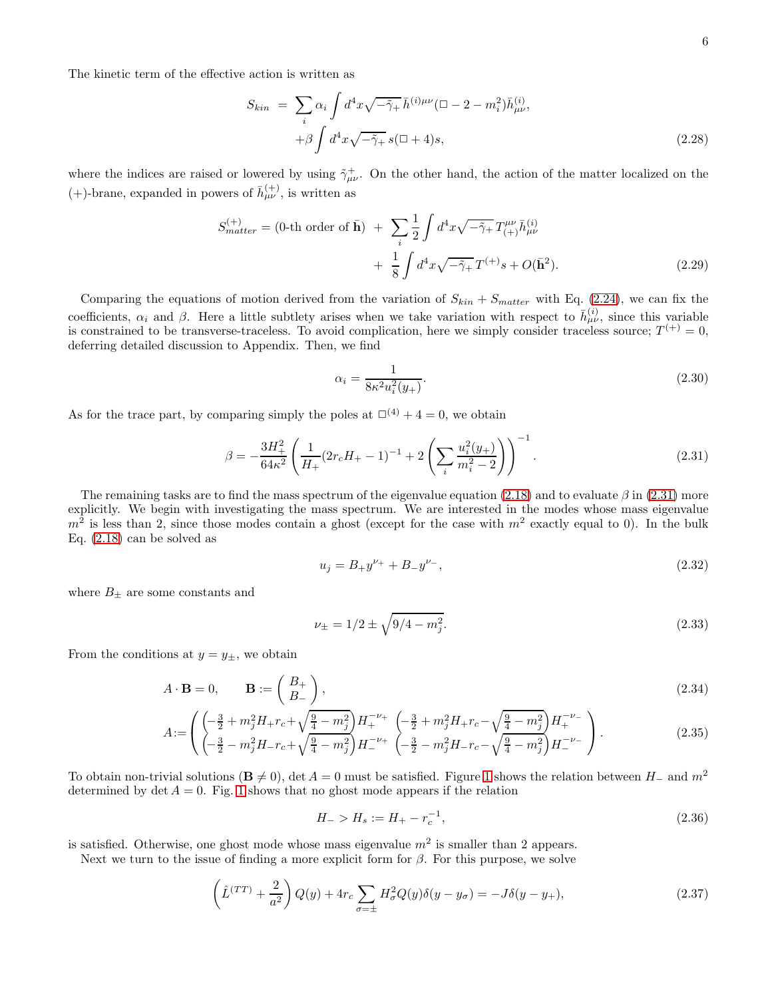The kinetic term of the effective action is written as

$$
S_{kin} = \sum_{i} \alpha_i \int d^4x \sqrt{-\tilde{\gamma}_+} \,\bar{h}^{(i)\mu\nu} (\Box - 2 - m_i^2) \bar{h}^{(i)}_{\mu\nu},
$$

$$
+ \beta \int d^4x \sqrt{-\tilde{\gamma}_+} \, s (\Box + 4) s,
$$
(2.28)

where the indices are raised or lowered by using  $\tilde{\gamma}^+_{\mu\nu}$ . On the other hand, the action of the matter localized on the (+)-brane, expanded in powers of  $\bar{h}^{(+)}_{\mu\nu}$ , is written as

$$
S_{matter}^{(+)} = (0 \text{-th order of } \bar{\mathbf{h}}) + \sum_{i} \frac{1}{2} \int d^{4}x \sqrt{-\tilde{\gamma}_{+}} T_{(+)}^{\mu\nu} \bar{h}_{\mu\nu}^{(i)}
$$

$$
+ \frac{1}{8} \int d^{4}x \sqrt{-\tilde{\gamma}_{+}} T^{(+)}s + O(\bar{\mathbf{h}}^{2}). \tag{2.29}
$$

Comparing the equations of motion derived from the variation of  $S_{kin} + S_{matter}$  with Eq. [\(2.24\)](#page-4-1), we can fix the coefficients,  $\alpha_i$  and  $\beta$ . Here a little subtlety arises when we take variation with respect to  $\bar{h}^{(i)}_{\mu\nu}$ , since this variable is constrained to be transverse-traceless. To avoid complication, here we simply consider traceless source;  $T^{(+)} = 0$ , deferring detailed discussion to Appendix. Then, we find

$$
\alpha_i = \frac{1}{8\kappa^2 u_i^2(y_+)}.\tag{2.30}
$$

As for the trace part, by comparing simply the poles at  $\Box^{(4)} + 4 = 0$ , we obtain

<span id="page-5-0"></span>
$$
\beta = -\frac{3H_{+}^{2}}{64\kappa^{2}} \left( \frac{1}{H_{+}} (2r_{c}H_{+} - 1)^{-1} + 2\left(\sum_{i} \frac{u_{i}^{2}(y_{+})}{m_{i}^{2} - 2}\right) \right)^{-1}.
$$
\n(2.31)

The remaining tasks are to find the mass spectrum of the eigenvalue equation [\(2.18\)](#page-3-3) and to evaluate  $\beta$  in [\(2.31\)](#page-5-0) more explicitly. We begin with investigating the mass spectrum. We are interested in the modes whose mass eigenvalue  $m^2$  is less than 2, since those modes contain a ghost (except for the case with  $m^2$  exactly equal to 0). In the bulk Eq. [\(2.18\)](#page-3-3) can be solved as

$$
u_j = B_+ y^{\nu_+} + B_- y^{\nu_-},\tag{2.32}
$$

where  $B_{\pm}$  are some constants and

$$
\nu_{\pm} = 1/2 \pm \sqrt{9/4 - m_j^2}.\tag{2.33}
$$

From the conditions at  $y = y_{\pm}$ , we obtain

$$
A \cdot \mathbf{B} = 0, \qquad \mathbf{B} := \begin{pmatrix} B_+ \\ B_- \end{pmatrix}, \tag{2.34}
$$

$$
A := \left( \begin{pmatrix} -\frac{3}{2} + m_j^2 H_+ r_c + \sqrt{\frac{9}{4} - m_j^2} \end{pmatrix} H_+^{-\nu_+} \begin{pmatrix} -\frac{3}{2} + m_j^2 H_+ r_c - \sqrt{\frac{9}{4} - m_j^2} \end{pmatrix} H_+^{-\nu_-} \begin{pmatrix} -\frac{3}{2} - m_j^2 H_- r_c - \sqrt{\frac{9}{4} - m_j^2} \end{pmatrix} H_-^{-\nu_-} \right). \tag{2.35}
$$

To obtain non-trivial solutions  $(\mathbf{B} \neq 0)$ , det  $A = 0$  must be satisfied. Figure [1](#page-6-0) shows the relation between  $H_-\$  and  $m^2$ determined by det  $A = 0$ . Fig. [1](#page-6-0) shows that no ghost mode appears if the relation

<span id="page-5-2"></span>
$$
H_{-} > H_{s} := H_{+} - r_{c}^{-1},\tag{2.36}
$$

is satisfied. Otherwise, one ghost mode whose mass eigenvalue  $m<sup>2</sup>$  is smaller than 2 appears.

Next we turn to the issue of finding a more explicit form for  $\beta$ . For this purpose, we solve

<span id="page-5-1"></span>
$$
\left(\hat{L}^{(TT)} + \frac{2}{a^2}\right)Q(y) + 4r_c \sum_{\sigma = \pm} H_{\sigma}^2 Q(y)\delta(y - y_{\sigma}) = -J\delta(y - y_+),\tag{2.37}
$$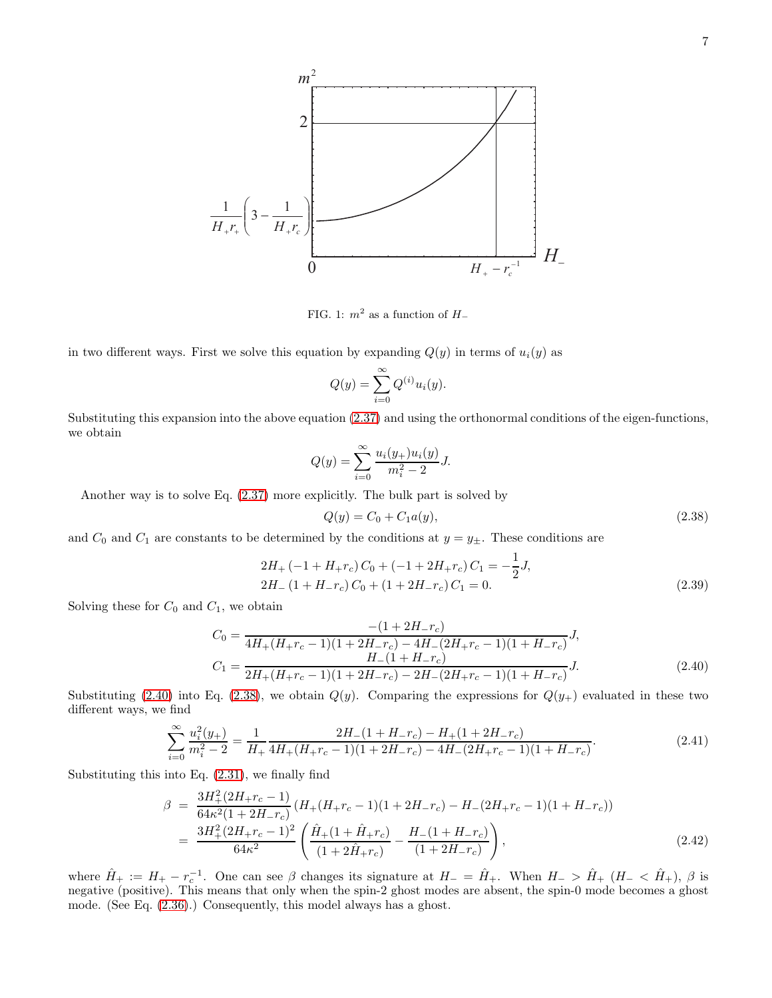

<span id="page-6-0"></span>FIG. 1:  $m^2$  as a function of  $H_$ 

in two different ways. First we solve this equation by expanding  $Q(y)$  in terms of  $u_i(y)$  as

$$
Q(y) = \sum_{i=0}^{\infty} Q^{(i)} u_i(y).
$$

Substituting this expansion into the above equation [\(2.37\)](#page-5-1) and using the orthonormal conditions of the eigen-functions, we obtain

$$
Q(y) = \sum_{i=0}^{\infty} \frac{u_i(y_+)u_i(y)}{m_i^2 - 2} J.
$$

Another way is to solve Eq. [\(2.37\)](#page-5-1) more explicitly. The bulk part is solved by

<span id="page-6-2"></span>
$$
Q(y) = C_0 + C_1 a(y), \tag{2.38}
$$

and  $C_0$  and  $C_1$  are constants to be determined by the conditions at  $y = y_{\pm}$ . These conditions are

$$
2H_{+}(-1 + H_{+}r_{c})C_{0} + (-1 + 2H_{+}r_{c})C_{1} = -\frac{1}{2}J,
$$
  
\n
$$
2H_{-}(1 + H_{-}r_{c})C_{0} + (1 + 2H_{-}r_{c})C_{1} = 0.
$$
\n(2.39)

Solving these for  $C_0$  and  $C_1$ , we obtain

<span id="page-6-1"></span>
$$
C_0 = \frac{-(1+2H_{-}r_c)}{4H_{+}(H_{+}r_c-1)(1+2H_{-}r_c)-4H_{-}(2H_{+}r_c-1)(1+H_{-}r_c)}J,
$$
  
\n
$$
C_1 = \frac{H_{-}(1+H_{-}r_c)}{2H_{+}(H_{+}r_c-1)(1+2H_{-}r_c)-2H_{-}(2H_{+}r_c-1)(1+H_{-}r_c)}J.
$$
\n(2.40)

Substituting [\(2.40\)](#page-6-1) into Eq. [\(2.38\)](#page-6-2), we obtain  $Q(y)$ . Comparing the expressions for  $Q(y_+)$  evaluated in these two different ways, we find

$$
\sum_{i=0}^{\infty} \frac{u_i^2(y_+)}{m_i^2 - 2} = \frac{1}{H_+} \frac{2H_-(1 + H_- r_c) - H_+(1 + 2H_- r_c)}{4H_+(H_+ r_c - 1)(1 + 2H_- r_c) - 4H_-(2H_+ r_c - 1)(1 + H_- r_c)}.
$$
\n(2.41)

Substituting this into Eq. [\(2.31\)](#page-5-0), we finally find

$$
\beta = \frac{3H_{+}^{2}(2H_{+}r_{c}-1)}{64\kappa^{2}(1+2H_{-}r_{c})}(H_{+}(H_{+}r_{c}-1)(1+2H_{-}r_{c})-H_{-}(2H_{+}r_{c}-1)(1+H_{-}r_{c}))
$$
\n
$$
= \frac{3H_{+}^{2}(2H_{+}r_{c}-1)^{2}}{64\kappa^{2}}\left(\frac{\hat{H}_{+}(1+\hat{H}_{+}r_{c})}{(1+2\hat{H}_{+}r_{c})}-\frac{H_{-}(1+H_{-}r_{c})}{(1+2H_{-}r_{c})}\right),
$$
\n(2.42)

where  $\hat{H}_+ := H_+ - r_c^{-1}$ . One can see  $\beta$  changes its signature at  $H_- = \hat{H}_+$ . When  $H_- > \hat{H}_+$  ( $H_- < \hat{H}_+$ ),  $\beta$  is negative (positive). This means that only when the spin-2 ghost modes are absent, the spin-0 mode becomes a ghost mode. (See Eq. [\(2.36\)](#page-5-2).) Consequently, this model always has a ghost.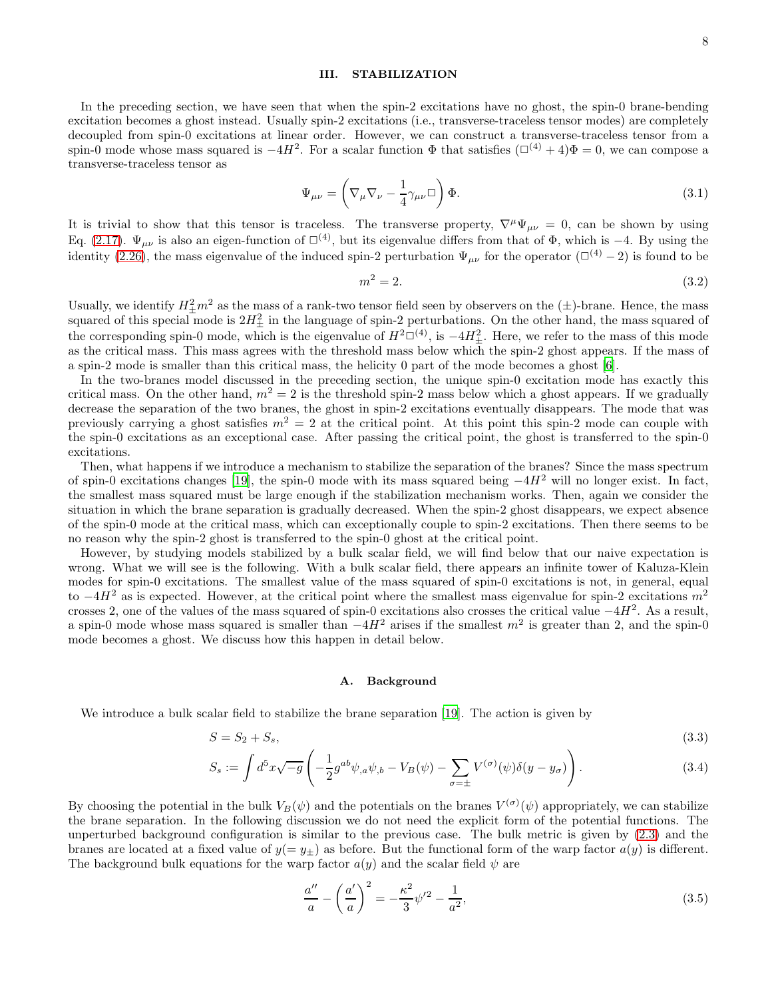## <span id="page-7-0"></span>III. STABILIZATION

In the preceding section, we have seen that when the spin-2 excitations have no ghost, the spin-0 brane-bending excitation becomes a ghost instead. Usually spin-2 excitations (i.e., transverse-traceless tensor modes) are completely decoupled from spin-0 excitations at linear order. However, we can construct a transverse-traceless tensor from a spin-0 mode whose mass squared is  $-4H^2$ . For a scalar function  $\Phi$  that satisfies  $(\Box^{(4)} + 4)\Phi = 0$ , we can compose a transverse-traceless tensor as

$$
\Psi_{\mu\nu} = \left(\nabla_{\mu}\nabla_{\nu} - \frac{1}{4}\gamma_{\mu\nu}\Box\right)\Phi.
$$
\n(3.1)

It is trivial to show that this tensor is traceless. The transverse property,  $\nabla^{\mu}\Psi_{\mu\nu} = 0$ , can be shown by using Eq. [\(2.17\)](#page-3-4).  $\Psi_{\mu\nu}$  is also an eigen-function of  $\square^{(4)}$ , but its eigenvalue differs from that of  $\Phi$ , which is −4. By using the identity [\(2.26\)](#page-4-3), the mass eigenvalue of the induced spin-2 perturbation  $\Psi_{\mu\nu}$  for the operator ( $\Box^{(4)}$  – 2) is found to be

$$
m^2 = 2.\tag{3.2}
$$

Usually, we identify  $H^2_{\pm}m^2$  as the mass of a rank-two tensor field seen by observers on the  $(\pm)$ -brane. Hence, the mass squared of this special mode is  $2H_{\pm}^2$  in the language of spin-2 perturbations. On the other hand, the mass squared of the corresponding spin-0 mode, which is the eigenvalue of  $H^2\square^{(4)}$ , is  $-4H^2_{\pm}$ . Here, we refer to the mass of this mode as the critical mass. This mass agrees with the threshold mass below which the spin-2 ghost appears. If the mass of a spin-2 mode is smaller than this critical mass, the helicity 0 part of the mode becomes a ghost [\[6\]](#page-18-5).

In the two-branes model discussed in the preceding section, the unique spin-0 excitation mode has exactly this critical mass. On the other hand,  $m^2 = 2$  is the threshold spin-2 mass below which a ghost appears. If we gradually decrease the separation of the two branes, the ghost in spin-2 excitations eventually disappears. The mode that was previously carrying a ghost satisfies  $m^2 = 2$  at the critical point. At this point this spin-2 mode can couple with the spin-0 excitations as an exceptional case. After passing the critical point, the ghost is transferred to the spin-0 excitations.

Then, what happens if we introduce a mechanism to stabilize the separation of the branes? Since the mass spectrum of spin-0 excitations changes [\[19](#page-18-18)], the spin-0 mode with its mass squared being  $-4H^2$  will no longer exist. In fact, the smallest mass squared must be large enough if the stabilization mechanism works. Then, again we consider the situation in which the brane separation is gradually decreased. When the spin-2 ghost disappears, we expect absence of the spin-0 mode at the critical mass, which can exceptionally couple to spin-2 excitations. Then there seems to be no reason why the spin-2 ghost is transferred to the spin-0 ghost at the critical point.

However, by studying models stabilized by a bulk scalar field, we will find below that our naive expectation is wrong. What we will see is the following. With a bulk scalar field, there appears an infinite tower of Kaluza-Klein modes for spin-0 excitations. The smallest value of the mass squared of spin-0 excitations is not, in general, equal to  $-4H^2$  as is expected. However, at the critical point where the smallest mass eigenvalue for spin-2 excitations  $m^2$ crosses 2, one of the values of the mass squared of spin-0 excitations also crosses the critical value  $-4H^2$ . As a result, a spin-0 mode whose mass squared is smaller than  $-4H^2$  arises if the smallest  $m^2$  is greater than 2, and the spin-0 mode becomes a ghost. We discuss how this happen in detail below.

### A. Background

We introduce a bulk scalar field to stabilize the brane separation [\[19\]](#page-18-18). The action is given by

$$
S = S_2 + S_s,\tag{3.3}
$$

$$
S_s := \int d^5 x \sqrt{-g} \left( -\frac{1}{2} g^{ab} \psi_{,a} \psi_{,b} - V_B(\psi) - \sum_{\sigma = \pm} V^{(\sigma)}(\psi) \delta(y - y_{\sigma}) \right). \tag{3.4}
$$

By choosing the potential in the bulk  $V_B(\psi)$  and the potentials on the branes  $V^{(\sigma)}(\psi)$  appropriately, we can stabilize the brane separation. In the following discussion we do not need the explicit form of the potential functions. The unperturbed background configuration is similar to the previous case. The bulk metric is given by [\(2.3\)](#page-2-1) and the branes are located at a fixed value of  $y(= y<sub>\pm</sub>)$  as before. But the functional form of the warp factor  $a(y)$  is different. The background bulk equations for the warp factor  $a(y)$  and the scalar field  $\psi$  are

$$
\frac{a''}{a} - \left(\frac{a'}{a}\right)^2 = -\frac{\kappa^2}{3}\psi'^2 - \frac{1}{a^2},\tag{3.5}
$$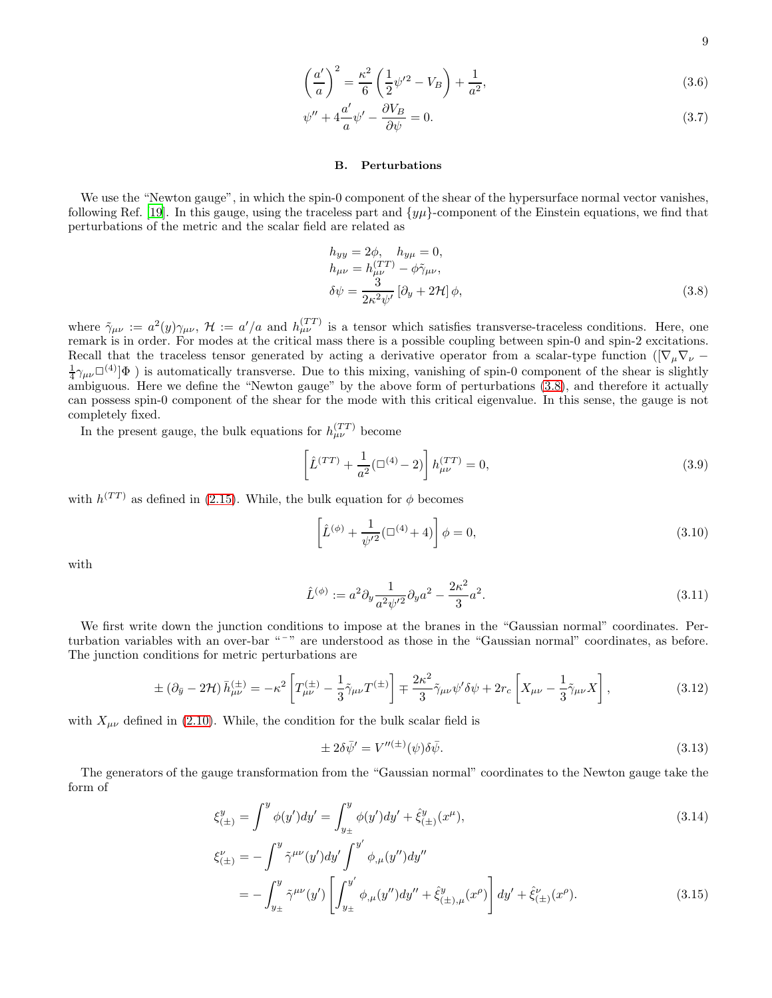9

$$
\left(\frac{a'}{a}\right)^2 = \frac{\kappa^2}{6} \left(\frac{1}{2}\psi'^2 - V_B\right) + \frac{1}{a^2},\tag{3.6}
$$

$$
\psi'' + 4\frac{a'}{a}\psi' - \frac{\partial V_B}{\partial \psi} = 0.
$$
\n(3.7)

# B. Perturbations

We use the "Newton gauge", in which the spin-0 component of the shear of the hypersurface normal vector vanishes, following Ref. [\[19\]](#page-18-18). In this gauge, using the traceless part and  $\{y\mu\}$ -component of the Einstein equations, we find that perturbations of the metric and the scalar field are related as

<span id="page-8-0"></span>
$$
h_{yy} = 2\phi, \quad h_{y\mu} = 0,
$$
  
\n
$$
h_{\mu\nu} = h_{\mu\nu}^{(TT)} - \phi \tilde{\gamma}_{\mu\nu},
$$
  
\n
$$
\delta\psi = \frac{3}{2\kappa^2\psi'} [\partial_y + 2\mathcal{H}] \phi,
$$
\n(3.8)

where  $\tilde{\gamma}_{\mu\nu} := a^2(y)\gamma_{\mu\nu}$ ,  $\mathcal{H} := a'/a$  and  $h_{\mu\nu}^{(TT)}$  is a tensor which satisfies transverse-traceless conditions. Here, one remark is in order. For modes at the critical mass there is a possible coupling between spin-0 and spin-2 excitations. Recall that the traceless tensor generated by acting a derivative operator from a scalar-type function ( $\nabla_u \nabla_v$  –  $\frac{1}{4}\gamma_{\mu\nu}\Box^{(4)}\phi$ ) is automatically transverse. Due to this mixing, vanishing of spin-0 component of the shear is slightly  $4 \mu\nu$ <sup>1</sup>/ $\mu\nu$ <sup>1</sup>/ $\mu$ <sup>2</sup>/ $\mu$ <sup>3</sup>/ $\mu$ <sup>3</sup> addomatically transverse. But to this intermed to spin-0 component of the sheaf is signify ambiguous. Here we define the "Newton gauge" by the above form of perturbations [\(3.8\)](#page-8-0) can possess spin-0 component of the shear for the mode with this critical eigenvalue. In this sense, the gauge is not completely fixed.

In the present gauge, the bulk equations for  $h_{\mu\nu}^{(TT)}$  become

$$
\left[\hat{L}^{(TT)} + \frac{1}{a^2}(\Box^{(4)} - 2)\right]h_{\mu\nu}^{(TT)} = 0,
$$
\n(3.9)

with  $h^{(TT)}$  as defined in [\(2.15\)](#page-3-5). While, the bulk equation for  $\phi$  becomes

$$
\left[\hat{L}^{(\phi)} + \frac{1}{\psi'^2} (\Box^{(4)} + 4)\right] \phi = 0, \tag{3.10}
$$

with

$$
\hat{L}^{(\phi)} := a^2 \partial_y \frac{1}{a^2 \psi'^2} \partial_y a^2 - \frac{2\kappa^2}{3} a^2.
$$
\n(3.11)

We first write down the junction conditions to impose at the branes in the "Gaussian normal" coordinates. Perturbation variables with an over-bar "<sup>-</sup>" are understood as those in the "Gaussian normal" coordinates, as before. The junction conditions for metric perturbations are

<span id="page-8-1"></span>
$$
\pm \left(\partial_{\bar{y}} - 2\mathcal{H}\right) \bar{h}^{(\pm)}_{\mu\nu} = -\kappa^2 \left[ T^{(\pm)}_{\mu\nu} - \frac{1}{3} \tilde{\gamma}_{\mu\nu} T^{(\pm)} \right] \mp \frac{2\kappa^2}{3} \tilde{\gamma}_{\mu\nu} \psi' \delta \psi + 2r_c \left[ X_{\mu\nu} - \frac{1}{3} \tilde{\gamma}_{\mu\nu} X \right],\tag{3.12}
$$

with  $X_{\mu\nu}$  defined in [\(2.10\)](#page-2-2). While, the condition for the bulk scalar field is

<span id="page-8-2"></span>
$$
\pm 2\delta \bar{\psi}' = V''^{(\pm)}(\psi)\delta \bar{\psi}.\tag{3.13}
$$

The generators of the gauge transformation from the "Gaussian normal" coordinates to the Newton gauge take the form of

$$
\xi_{(\pm)}^y = \int^y \phi(y')dy' = \int_{y_\pm}^y \phi(y')dy' + \hat{\xi}_{(\pm)}^y(x^\mu),\tag{3.14}
$$

$$
\xi_{(\pm)}^{\nu} = -\int_{y_{\pm}}^{y} \tilde{\gamma}^{\mu\nu}(y')dy' \int_{y_{\pm}}^{y'} \phi_{,\mu}(y'')dy''
$$
  
= 
$$
-\int_{y_{\pm}}^{y} \tilde{\gamma}^{\mu\nu}(y') \left[ \int_{y_{\pm}}^{y'} \phi_{,\mu}(y'')dy'' + \hat{\xi}_{(\pm),\mu}^{y'}(x^{\rho}) \right] dy' + \hat{\xi}_{(\pm)}^{\nu}(x^{\rho}).
$$
 (3.15)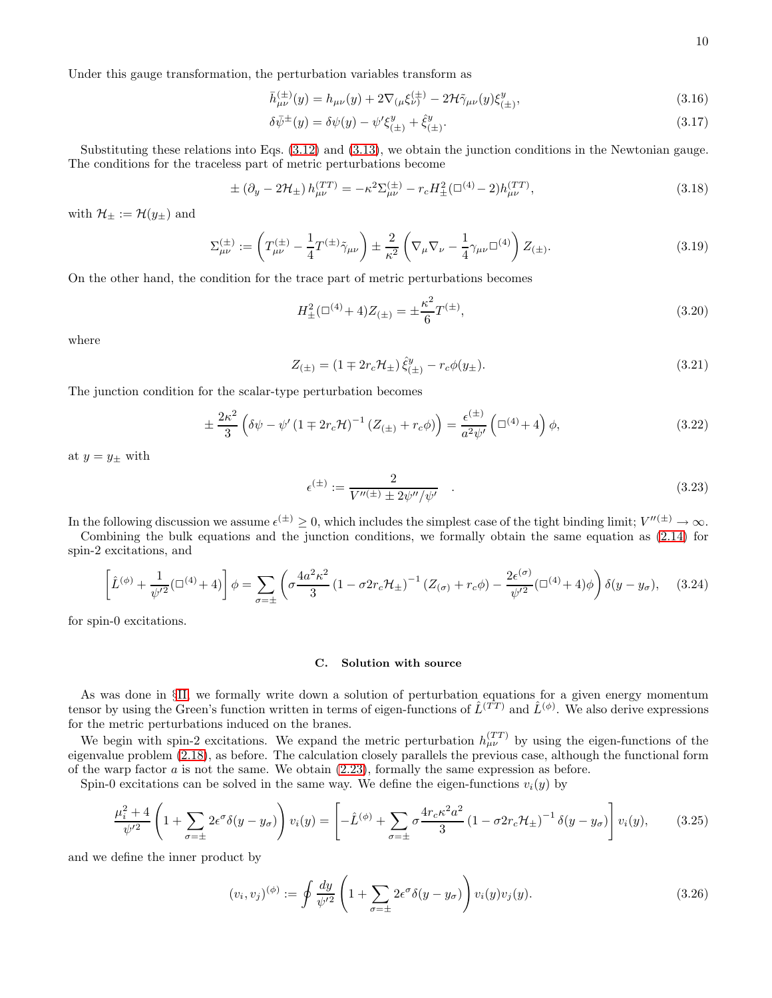Under this gauge transformation, the perturbation variables transform as

$$
\bar{h}^{(\pm)}_{\mu\nu}(y) = h_{\mu\nu}(y) + 2\nabla_{(\mu}\xi^{(\pm)}_{\nu)} - 2\mathcal{H}\tilde{\gamma}_{\mu\nu}(y)\xi^{y}_{(\pm)},
$$
\n(3.16)

$$
\delta \bar{\psi}^{\pm}(y) = \delta \psi(y) - \psi' \xi_{(\pm)}^y + \hat{\xi}_{(\pm)}^y. \tag{3.17}
$$

Substituting these relations into Eqs. [\(3.12\)](#page-8-1) and [\(3.13\)](#page-8-2), we obtain the junction conditions in the Newtonian gauge. The conditions for the traceless part of metric perturbations become

<span id="page-9-3"></span>
$$
\pm (\partial_y - 2\mathcal{H}_{\pm}) h_{\mu\nu}^{(TT)} = -\kappa^2 \Sigma_{\mu\nu}^{(\pm)} - r_c H_{\pm}^2 (\square^{(4)} - 2) h_{\mu\nu}^{(TT)}, \tag{3.18}
$$

with  $\mathcal{H}_\pm := \mathcal{H}(y_\pm)$  and

$$
\Sigma_{\mu\nu}^{(\pm)} := \left( T_{\mu\nu}^{(\pm)} - \frac{1}{4} T^{(\pm)} \tilde{\gamma}_{\mu\nu} \right) \pm \frac{2}{\kappa^2} \left( \nabla_{\mu} \nabla_{\nu} - \frac{1}{4} \gamma_{\mu\nu} \Box^{(4)} \right) Z_{(\pm)}.
$$
\n(3.19)

On the other hand, the condition for the trace part of metric perturbations becomes

<span id="page-9-1"></span>
$$
H_{\pm}^{2}(\Box^{(4)} + 4)Z_{(\pm)} = \pm \frac{\kappa^{2}}{6}T^{(\pm)},
$$
\n(3.20)

where

$$
Z_{(\pm)} = (1 \mp 2r_c \mathcal{H}_{\pm}) \hat{\xi}^y_{(\pm)} - r_c \phi(y_{\pm}). \tag{3.21}
$$

The junction condition for the scalar-type perturbation becomes

<span id="page-9-2"></span>
$$
\pm \frac{2\kappa^2}{3} \left( \delta\psi - \psi' \left( 1 \mp 2r_c \mathcal{H} \right)^{-1} \left( Z_{\left( \pm \right)} + r_c \phi \right) \right) = \frac{\epsilon^{(\pm)}}{a^2 \psi'} \left( \Box^{(4)} + 4 \right) \phi, \tag{3.22}
$$

at  $y = y_{\pm}$  with

$$
\epsilon^{(\pm)} := \frac{2}{V''^{(\pm)} \pm 2\psi''/\psi'} \quad . \tag{3.23}
$$

In the following discussion we assume  $\epsilon^{(\pm)} \geq 0$ , which includes the simplest case of the tight binding limit;  $V''^{(\pm)} \to \infty$ .

Combining the bulk equations and the junction conditions, we formally obtain the same equation as [\(2.14\)](#page-3-2) for spin-2 excitations, and

<span id="page-9-0"></span>
$$
\left[\hat{L}^{(\phi)} + \frac{1}{\psi'^2} (\Box^{(4)} + 4)\right] \phi = \sum_{\sigma = \pm} \left(\sigma \frac{4a^2 \kappa^2}{3} \left(1 - \sigma 2r_c \mathcal{H}_{\pm}\right)^{-1} \left(Z_{(\sigma)} + r_c \phi\right) - \frac{2\epsilon^{(\sigma)}}{\psi'^2} (\Box^{(4)} + 4) \phi\right) \delta(y - y_{\sigma}), \quad (3.24)
$$

for spin-0 excitations.

### C. Solution with source

As was done in §[II,](#page-1-0) we formally write down a solution of perturbation equations for a given energy momentum tensor by using the Green's function written in terms of eigen-functions of  $\hat{L}^{(\vec{TT})}$  and  $\hat{L}^{(\phi)}$ . We also derive expressions for the metric perturbations induced on the branes.

We begin with spin-2 excitations. We expand the metric perturbation  $h_{\mu\nu}^{(TT)}$  by using the eigen-functions of the eigenvalue problem [\(2.18\)](#page-3-3), as before. The calculation closely parallels the previous case, although the functional form of the warp factor  $a$  is not the same. We obtain  $(2.23)$ , formally the same expression as before.

Spin-0 excitations can be solved in the same way. We define the eigen-functions  $v_i(y)$  by

$$
\frac{\mu_i^2 + 4}{\psi'^2} \left( 1 + \sum_{\sigma = \pm} 2\epsilon^{\sigma} \delta(y - y_{\sigma}) \right) v_i(y) = \left[ -\hat{L}^{(\phi)} + \sum_{\sigma = \pm} \sigma \frac{4r_c \kappa^2 a^2}{3} \left( 1 - \sigma 2r_c \mathcal{H}_{\pm} \right)^{-1} \delta(y - y_{\sigma}) \right] v_i(y), \tag{3.25}
$$

and we define the inner product by

$$
(v_i, v_j)^{(\phi)} := \oint \frac{dy}{\psi'^2} \left( 1 + \sum_{\sigma = \pm} 2\epsilon^{\sigma} \delta(y - y_{\sigma}) \right) v_i(y) v_j(y).
$$
 (3.26)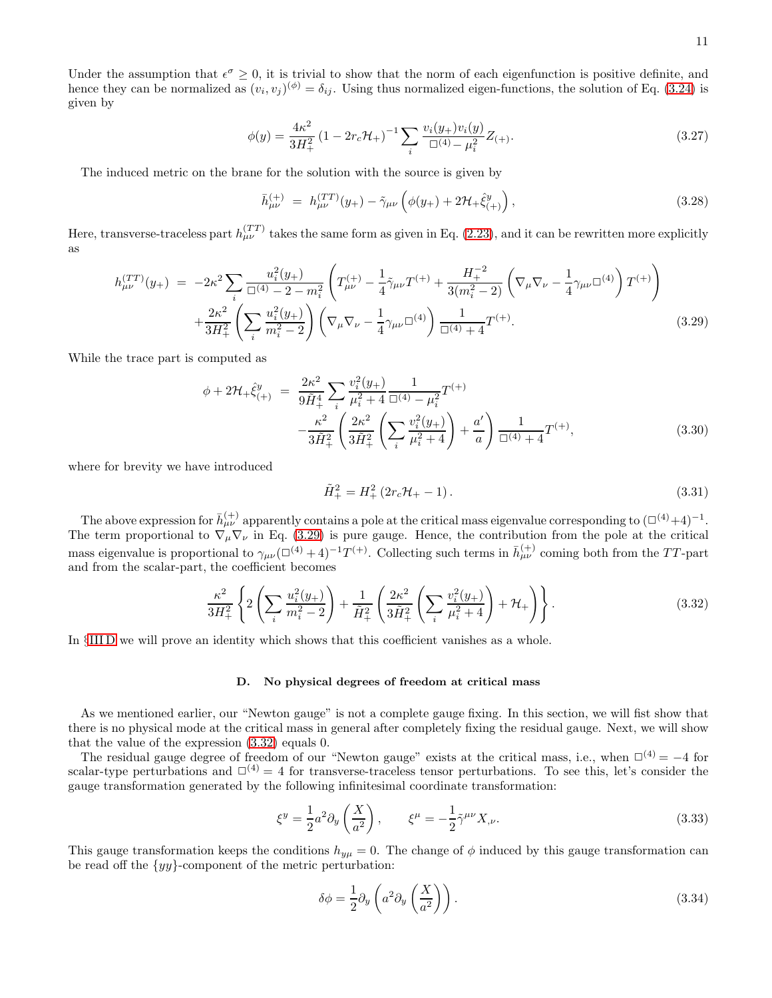Under the assumption that  $\epsilon^{\sigma} \geq 0$ , it is trivial to show that the norm of each eigenfunction is positive definite, and hence they can be normalized as  $(v_i, v_j)^{(\phi)} = \delta_{ij}$ . Using thus normalized eigen-functions, the solution of Eq. [\(3.24\)](#page-9-0) is given by

<span id="page-10-4"></span>
$$
\phi(y) = \frac{4\kappa^2}{3H_+^2} \left(1 - 2r_c \mathcal{H}_+\right)^{-1} \sum_i \frac{v_i(y_+)v_i(y)}{\Box^{(4)} - \mu_i^2} Z_{(+)}. \tag{3.27}
$$

The induced metric on the brane for the solution with the source is given by

$$
\bar{h}^{(+)}_{\mu\nu} = h^{(TT)}_{\mu\nu}(y_+) - \tilde{\gamma}_{\mu\nu} \left( \phi(y_+) + 2\mathcal{H}_+ \hat{\xi}^y_{(+)} \right), \tag{3.28}
$$

Here, transverse-traceless part  $h_{\mu\nu}^{(TT)}$  takes the same form as given in Eq. [\(2.23\)](#page-4-0), and it can be rewritten more explicitly as

<span id="page-10-0"></span>
$$
h_{\mu\nu}^{(TT)}(y_{+}) = -2\kappa^{2} \sum_{i} \frac{u_{i}^{2}(y_{+})}{\Box^{(4)} - 2 - m_{i}^{2}} \left( T_{\mu\nu}^{(+)} - \frac{1}{4} \tilde{\gamma}_{\mu\nu} T^{(+)} + \frac{H_{+}^{-2}}{3(m_{i}^{2} - 2)} \left( \nabla_{\mu} \nabla_{\nu} - \frac{1}{4} \gamma_{\mu\nu} \Box^{(4)} \right) T^{(+)} \right) + \frac{2\kappa^{2}}{3H_{+}^{2}} \left( \sum_{i} \frac{u_{i}^{2}(y_{+})}{m_{i}^{2} - 2} \right) \left( \nabla_{\mu} \nabla_{\nu} - \frac{1}{4} \gamma_{\mu\nu} \Box^{(4)} \right) \frac{1}{\Box^{(4)} + 4} T^{(+)}.
$$
\n(3.29)

While the trace part is computed as

<span id="page-10-5"></span>
$$
\phi + 2\mathcal{H}_{+}\hat{\xi}_{(+)}^{y} = \frac{2\kappa^{2}}{9\tilde{H}_{+}^{4}} \sum_{i} \frac{v_{i}^{2}(y_{+})}{\mu_{i}^{2} + 4} \frac{1}{\Box^{(4)} - \mu_{i}^{2}} T^{(+)} -\frac{\kappa^{2}}{3\tilde{H}_{+}^{2}} \left( \frac{2\kappa^{2}}{3\tilde{H}_{+}^{2}} \left( \sum_{i} \frac{v_{i}^{2}(y_{+})}{\mu_{i}^{2} + 4} \right) + \frac{a'}{a} \right) \frac{1}{\Box^{(4)} + 4} T^{(+)},
$$
\n(3.30)

where for brevity we have introduced

$$
\tilde{H}_{+}^{2} = H_{+}^{2} \left( 2r_{c} \mathcal{H}_{+} - 1 \right). \tag{3.31}
$$

The above expression for  $\bar{h}^{(+)}_{\mu\nu}$  apparently contains a pole at the critical mass eigenvalue corresponding to  $(\Box^{(4)}+4)^{-1}$ . The term proportional to  $\nabla_{\mu} \nabla_{\nu}$  in Eq. [\(3.29\)](#page-10-0) is pure gauge. Hence, the contribution from the pole at the critical mass eigenvalue is proportional to  $\gamma_{\mu\nu}(\Box^{(4)}+4)^{-1}T^{(+)}$ . Collecting such terms in  $\bar{h}^{(+)}_{\mu\nu}$  coming both from the TT-part and from the scalar-part, the coefficient becomes

<span id="page-10-2"></span>
$$
\frac{\kappa^2}{3H_+^2} \left\{ 2\left(\sum_i \frac{u_i^2(y_+)}{m_i^2 - 2}\right) + \frac{1}{\tilde{H}_+^2} \left(\frac{2\kappa^2}{3\tilde{H}_+^2} \left(\sum_i \frac{v_i^2(y_+)}{\mu_i^2 + 4}\right) + \mathcal{H}_+ \right) \right\}.
$$
\n(3.32)

In §[III D](#page-10-1) we will prove an identity which shows that this coefficient vanishes as a whole.

### <span id="page-10-1"></span>D. No physical degrees of freedom at critical mass

As we mentioned earlier, our "Newton gauge" is not a complete gauge fixing. In this section, we will fist show that there is no physical mode at the critical mass in general after completely fixing the residual gauge. Next, we will show that the value of the expression [\(3.32\)](#page-10-2) equals 0.

The residual gauge degree of freedom of our "Newton gauge" exists at the critical mass, i.e., when  $\Box^{(4)} = -4$  for scalar-type perturbations and  $\square^{(4)} = 4$  for transverse-traceless tensor perturbations. To see this, let's consider the gauge transformation generated by the following infinitesimal coordinate transformation:

$$
\xi^y = \frac{1}{2} a^2 \partial_y \left(\frac{X}{a^2}\right), \qquad \xi^\mu = -\frac{1}{2} \tilde{\gamma}^{\mu\nu} X_{,\nu}.
$$
 (3.33)

This gauge transformation keeps the conditions  $h_{y\mu} = 0$ . The change of  $\phi$  induced by this gauge transformation can be read off the  $\{yy\}$ -component of the metric perturbation:

<span id="page-10-3"></span>
$$
\delta\phi = \frac{1}{2}\partial_y \left( a^2 \partial_y \left( \frac{X}{a^2} \right) \right). \tag{3.34}
$$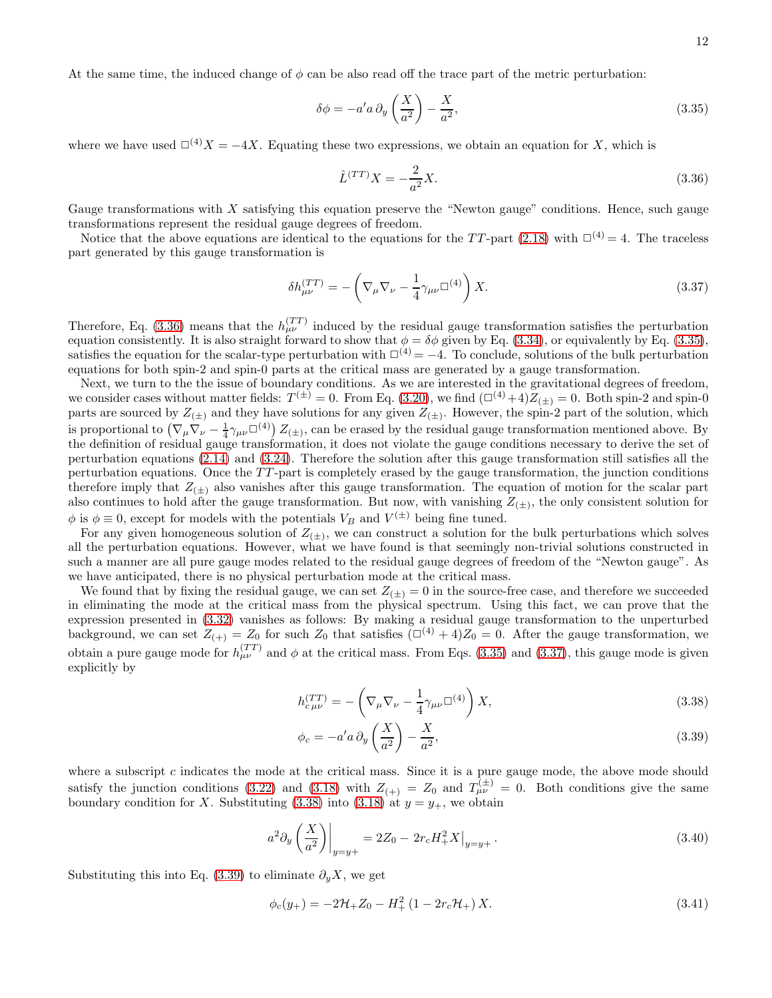At the same time, the induced change of  $\phi$  can be also read off the trace part of the metric perturbation:

<span id="page-11-1"></span>
$$
\delta\phi = -a'a \,\partial_y \left(\frac{X}{a^2}\right) - \frac{X}{a^2},\tag{3.35}
$$

where we have used  $\square^{(4)}X = -4X$ . Equating these two expressions, we obtain an equation for X, which is

<span id="page-11-0"></span>
$$
\hat{L}^{(TT)}X = -\frac{2}{a^2}X.\tag{3.36}
$$

Gauge transformations with  $X$  satisfying this equation preserve the "Newton gauge" conditions. Hence, such gauge transformations represent the residual gauge degrees of freedom.

Notice that the above equations are identical to the equations for the TT-part [\(2.18\)](#page-3-3) with  $\Box^{(4)} = 4$ . The traceless part generated by this gauge transformation is

<span id="page-11-2"></span>
$$
\delta h_{\mu\nu}^{(TT)} = -\left(\nabla_{\mu}\nabla_{\nu} - \frac{1}{4}\gamma_{\mu\nu}\Box^{(4)}\right)X.\tag{3.37}
$$

Therefore, Eq. [\(3.36\)](#page-11-0) means that the  $h_{\mu\nu}^{(TT)}$  induced by the residual gauge transformation satisfies the perturbation equation consistently. It is also straight forward to show that  $\phi = \delta\phi$  given by Eq. [\(3.34\)](#page-10-3), or equivalently by Eq. [\(3.35\)](#page-11-1), satisfies the equation for the scalar-type perturbation with  $\Box^{(4)} = -4$ . To conclude, solutions of the bulk perturbation equations for both spin-2 and spin-0 parts at the critical mass are generated by a gauge transformation.

Next, we turn to the the issue of boundary conditions. As we are interested in the gravitational degrees of freedom, we consider cases without matter fields:  $T^{(\pm)} = 0$ . From Eq. [\(3.20\)](#page-9-1), we find  $(\Box^{(4)} + 4)Z_{(\pm)} = 0$ . Both spin-2 and spin-0 parts are sourced by  $Z_{(\pm)}$  and they have solutions for any given  $Z_{(\pm)}$ . However, the spin-2 part of the solution, which is proportional to  $(\nabla_{\mu}\nabla_{\nu} - \frac{1}{4}\gamma_{\mu\nu}\Box^{(4)}) Z_{(\pm)}$ , can be erased by the residual gauge transformation mentioned above. By the definition of residual gauge transformation, it does not violate the gauge conditions necessary to derive the set of perturbation equations [\(2.14\)](#page-3-2) and [\(3.24\)](#page-9-0). Therefore the solution after this gauge transformation still satisfies all the perturbation equations. Once the TT -part is completely erased by the gauge transformation, the junction conditions therefore imply that  $Z_{(\pm)}$  also vanishes after this gauge transformation. The equation of motion for the scalar part also continues to hold after the gauge transformation. But now, with vanishing  $Z_{(\pm)}$ , the only consistent solution for  $\phi$  is  $\phi \equiv 0$ , except for models with the potentials  $V_B$  and  $V^{(\pm)}$  being fine tuned.

For any given homogeneous solution of  $Z_{(\pm)}$ , we can construct a solution for the bulk perturbations which solves all the perturbation equations. However, what we have found is that seemingly non-trivial solutions constructed in such a manner are all pure gauge modes related to the residual gauge degrees of freedom of the "Newton gauge". As we have anticipated, there is no physical perturbation mode at the critical mass.

We found that by fixing the residual gauge, we can set  $Z_{(\pm)} = 0$  in the source-free case, and therefore we succeeded in eliminating the mode at the critical mass from the physical spectrum. Using this fact, we can prove that the expression presented in [\(3.32\)](#page-10-2) vanishes as follows: By making a residual gauge transformation to the unperturbed background, we can set  $Z_{(+)} = Z_0$  for such  $Z_0$  that satisfies  $(\Box^{(4)} + 4)Z_0 = 0$ . After the gauge transformation, we obtain a pure gauge mode for  $h_{\mu\nu}^{(TT)}$  and  $\phi$  at the critical mass. From Eqs. [\(3.35\)](#page-11-1) and [\(3.37\)](#page-11-2), this gauge mode is given explicitly by

<span id="page-11-3"></span>
$$
h_{c\,\mu\nu}^{(TT)} = -\left(\nabla_{\mu}\nabla_{\nu} - \frac{1}{4}\gamma_{\mu\nu}\Box^{(4)}\right)X,\tag{3.38}
$$

$$
\phi_c = -a'a \,\partial_y \left(\frac{X}{a^2}\right) - \frac{X}{a^2},\tag{3.39}
$$

where a subscript  $c$  indicates the mode at the critical mass. Since it is a pure gauge mode, the above mode should satisfy the junction conditions [\(3.22\)](#page-9-2) and [\(3.18\)](#page-9-3) with  $Z_{(+)} = Z_0$  and  $T_{\mu\nu}^{(\pm)} = 0$ . Both conditions give the same boundary condition for X. Substituting [\(3.38\)](#page-11-3) into [\(3.18\)](#page-9-3) at  $y = y_+$ , we obtain

$$
a^2 \partial_y \left(\frac{X}{a^2}\right)\Big|_{y=y+} = 2Z_0 - 2r_c H_+^2 X\big|_{y=y+}.
$$
\n(3.40)

Substituting this into Eq. [\(3.39\)](#page-11-3) to eliminate  $\partial_{\nu}X$ , we get

<span id="page-11-4"></span>
$$
\phi_c(y_+) = -2\mathcal{H}_+ Z_0 - H_+^2 (1 - 2r_c \mathcal{H}_+) X. \tag{3.41}
$$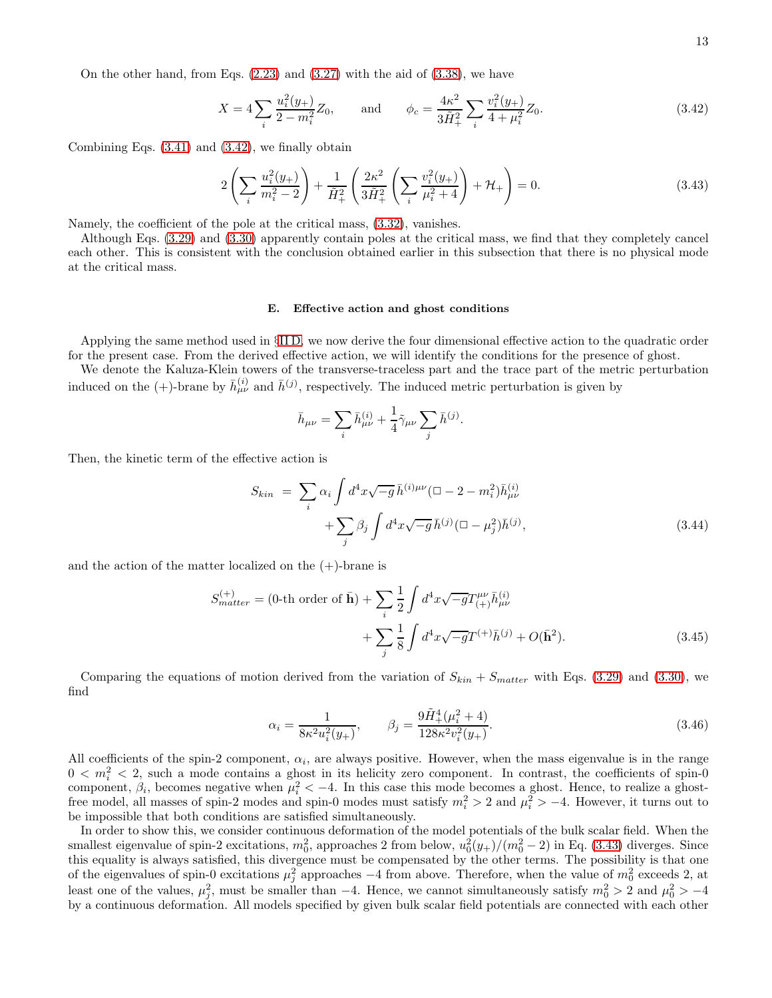On the other hand, from Eqs. [\(2.23\)](#page-4-0) and [\(3.27\)](#page-10-4) with the aid of [\(3.38\)](#page-11-3), we have

<span id="page-12-0"></span>
$$
X = 4\sum_{i} \frac{u_i^2(y_+)}{2 - m_i^2} Z_0, \quad \text{and} \quad \phi_c = \frac{4\kappa^2}{3\tilde{H}_+^2} \sum_{i} \frac{v_i^2(y_+)}{4 + \mu_i^2} Z_0.
$$
 (3.42)

Combining Eqs. [\(3.41\)](#page-11-4) and [\(3.42\)](#page-12-0), we finally obtain

<span id="page-12-1"></span>
$$
2\left(\sum_{i} \frac{u_i^2(y_+)}{m_i^2 - 2}\right) + \frac{1}{\tilde{H}_+^2} \left(\frac{2\kappa^2}{3\tilde{H}_+^2} \left(\sum_{i} \frac{v_i^2(y_+)}{\mu_i^2 + 4}\right) + \mathcal{H}_+\right) = 0.
$$
\n(3.43)

Namely, the coefficient of the pole at the critical mass, [\(3.32\)](#page-10-2), vanishes.

Although Eqs. [\(3.29\)](#page-10-0) and [\(3.30\)](#page-10-5) apparently contain poles at the critical mass, we find that they completely cancel each other. This is consistent with the conclusion obtained earlier in this subsection that there is no physical mode at the critical mass.

### E. Effective action and ghost conditions

Applying the same method used in §[II D,](#page-4-4) we now derive the four dimensional effective action to the quadratic order for the present case. From the derived effective action, we will identify the conditions for the presence of ghost.

We denote the Kaluza-Klein towers of the transverse-traceless part and the trace part of the metric perturbation induced on the  $(+)$ -brane by  $\bar{h}^{(i)}_{\mu\nu}$  and  $\bar{h}^{(j)}$ , respectively. The induced metric perturbation is given by

$$
\bar{h}_{\mu\nu} = \sum_i \bar{h}^{(i)}_{\mu\nu} + \frac{1}{4} \tilde{\gamma}_{\mu\nu} \sum_j \bar{h}^{(j)}.
$$

Then, the kinetic term of the effective action is

$$
S_{kin} = \sum_{i} \alpha_{i} \int d^{4}x \sqrt{-g} \,\bar{h}^{(i)\mu\nu} (\Box - 2 - m_{i}^{2}) \bar{h}^{(i)}_{\mu\nu} + \sum_{j} \beta_{j} \int d^{4}x \sqrt{-g} \,\bar{h}^{(j)} (\Box - \mu_{j}^{2}) \bar{h}^{(j)}, \tag{3.44}
$$

and the action of the matter localized on the  $(+)$ -brane is

$$
S_{matter}^{(+)} = (0 \text{-th order of } \bar{\mathbf{h}}) + \sum_{i} \frac{1}{2} \int d^{4}x \sqrt{-g} T_{(+)}^{\mu\nu} \bar{h}_{\mu\nu}^{(i)}
$$

$$
+ \sum_{j} \frac{1}{8} \int d^{4}x \sqrt{-g} T^{(+)} \bar{h}^{(j)} + O(\bar{\mathbf{h}}^{2}). \tag{3.45}
$$

Comparing the equations of motion derived from the variation of  $S_{kin} + S_{matter}$  with Eqs. [\(3.29\)](#page-10-0) and [\(3.30\)](#page-10-5), we find

$$
\alpha_i = \frac{1}{8\kappa^2 u_i^2(y_+)}, \qquad \beta_j = \frac{9\tilde{H}_+^4(\mu_i^2 + 4)}{128\kappa^2 v_i^2(y_+)}.
$$
\n(3.46)

All coefficients of the spin-2 component,  $\alpha_i$ , are always positive. However, when the mass eigenvalue is in the range  $0 < m<sub>i</sub><sup>2</sup> < 2$ , such a mode contains a ghost in its helicity zero component. In contrast, the coefficients of spin-0 component,  $\beta_i$ , becomes negative when  $\mu_i^2 < -4$ . In this case this mode becomes a ghost. Hence, to realize a ghostfree model, all masses of spin-2 modes and spin-0 modes must satisfy  $m_i^2 > 2$  and  $\mu_i^2 > -4$ . However, it turns out to be impossible that both conditions are satisfied simultaneously.

In order to show this, we consider continuous deformation of the model potentials of the bulk scalar field. When the smallest eigenvalue of spin-2 excitations,  $m_0^2$ , approaches 2 from below,  $u_0^2(y_+)/(m_0^2-2)$  in Eq. [\(3.43\)](#page-12-1) diverges. Since this equality is always satisfied, this divergence must be compensated by the other terms. The possibility is that one of the eigenvalues of spin-0 excitations  $\mu_j^2$  approaches  $-4$  from above. Therefore, when the value of  $m_0^2$  exceeds 2, at least one of the values,  $\mu_j^2$ , must be smaller than -4. Hence, we cannot simultaneously satisfy  $m_0^2 > 2$  and  $\mu_0^2 > -4$ by a continuous deformation. All models specified by given bulk scalar field potentials are connected with each other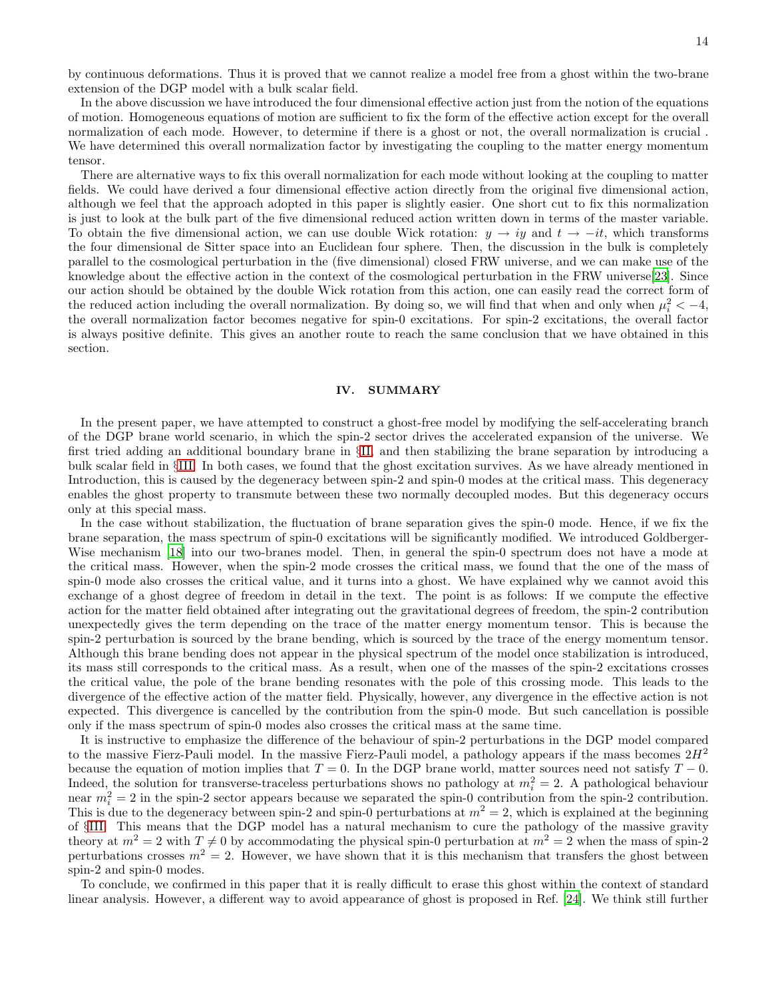by continuous deformations. Thus it is proved that we cannot realize a model free from a ghost within the two-brane extension of the DGP model with a bulk scalar field.

In the above discussion we have introduced the four dimensional effective action just from the notion of the equations of motion. Homogeneous equations of motion are sufficient to fix the form of the effective action except for the overall normalization of each mode. However, to determine if there is a ghost or not, the overall normalization is crucial . We have determined this overall normalization factor by investigating the coupling to the matter energy momentum tensor.

There are alternative ways to fix this overall normalization for each mode without looking at the coupling to matter fields. We could have derived a four dimensional effective action directly from the original five dimensional action, although we feel that the approach adopted in this paper is slightly easier. One short cut to fix this normalization is just to look at the bulk part of the five dimensional reduced action written down in terms of the master variable. To obtain the five dimensional action, we can use double Wick rotation:  $y \to iy$  and  $t \to -it$ , which transforms the four dimensional de Sitter space into an Euclidean four sphere. Then, the discussion in the bulk is completely parallel to the cosmological perturbation in the (five dimensional) closed FRW universe, and we can make use of the knowledge about the effective action in the context of the cosmological perturbation in the FRW universe[\[23](#page-18-21)]. Since our action should be obtained by the double Wick rotation from this action, one can easily read the correct form of the reduced action including the overall normalization. By doing so, we will find that when and only when  $\mu_i^2 < -4$ , the overall normalization factor becomes negative for spin-0 excitations. For spin-2 excitations, the overall factor is always positive definite. This gives an another route to reach the same conclusion that we have obtained in this section.

### <span id="page-13-0"></span>IV. SUMMARY

In the present paper, we have attempted to construct a ghost-free model by modifying the self-accelerating branch of the DGP brane world scenario, in which the spin-2 sector drives the accelerated expansion of the universe. We first tried adding an additional boundary brane in §[II,](#page-1-0) and then stabilizing the brane separation by introducing a bulk scalar field in §[III.](#page-7-0) In both cases, we found that the ghost excitation survives. As we have already mentioned in Introduction, this is caused by the degeneracy between spin-2 and spin-0 modes at the critical mass. This degeneracy enables the ghost property to transmute between these two normally decoupled modes. But this degeneracy occurs only at this special mass.

In the case without stabilization, the fluctuation of brane separation gives the spin-0 mode. Hence, if we fix the brane separation, the mass spectrum of spin-0 excitations will be significantly modified. We introduced Goldberger-Wise mechanism [\[18\]](#page-18-17) into our two-branes model. Then, in general the spin-0 spectrum does not have a mode at the critical mass. However, when the spin-2 mode crosses the critical mass, we found that the one of the mass of spin-0 mode also crosses the critical value, and it turns into a ghost. We have explained why we cannot avoid this exchange of a ghost degree of freedom in detail in the text. The point is as follows: If we compute the effective action for the matter field obtained after integrating out the gravitational degrees of freedom, the spin-2 contribution unexpectedly gives the term depending on the trace of the matter energy momentum tensor. This is because the spin-2 perturbation is sourced by the brane bending, which is sourced by the trace of the energy momentum tensor. Although this brane bending does not appear in the physical spectrum of the model once stabilization is introduced, its mass still corresponds to the critical mass. As a result, when one of the masses of the spin-2 excitations crosses the critical value, the pole of the brane bending resonates with the pole of this crossing mode. This leads to the divergence of the effective action of the matter field. Physically, however, any divergence in the effective action is not expected. This divergence is cancelled by the contribution from the spin-0 mode. But such cancellation is possible only if the mass spectrum of spin-0 modes also crosses the critical mass at the same time.

It is instructive to emphasize the difference of the behaviour of spin-2 perturbations in the DGP model compared to the massive Fierz-Pauli model. In the massive Fierz-Pauli model, a pathology appears if the mass becomes  $2H^2$ because the equation of motion implies that  $T = 0$ . In the DGP brane world, matter sources need not satisfy  $T - 0$ . Indeed, the solution for transverse-traceless perturbations shows no pathology at  $m_i^2 = 2$ . A pathological behaviour near  $m_i^2 = 2$  in the spin-2 sector appears because we separated the spin-0 contribution from the spin-2 contribution. This is due to the degeneracy between spin-2 and spin-0 perturbations at  $m^2 = 2$ , which is explained at the beginning of §[III.](#page-7-0) This means that the DGP model has a natural mechanism to cure the pathology of the massive gravity theory at  $m^2 = 2$  with  $T \neq 0$  by accommodating the physical spin-0 perturbation at  $m^2 = 2$  when the mass of spin-2 perturbations crosses  $m^2 = 2$ . However, we have shown that it is this mechanism that transfers the ghost between spin-2 and spin-0 modes.

To conclude, we confirmed in this paper that it is really difficult to erase this ghost within the context of standard linear analysis. However, a different way to avoid appearance of ghost is proposed in Ref. [\[24](#page-18-22)]. We think still further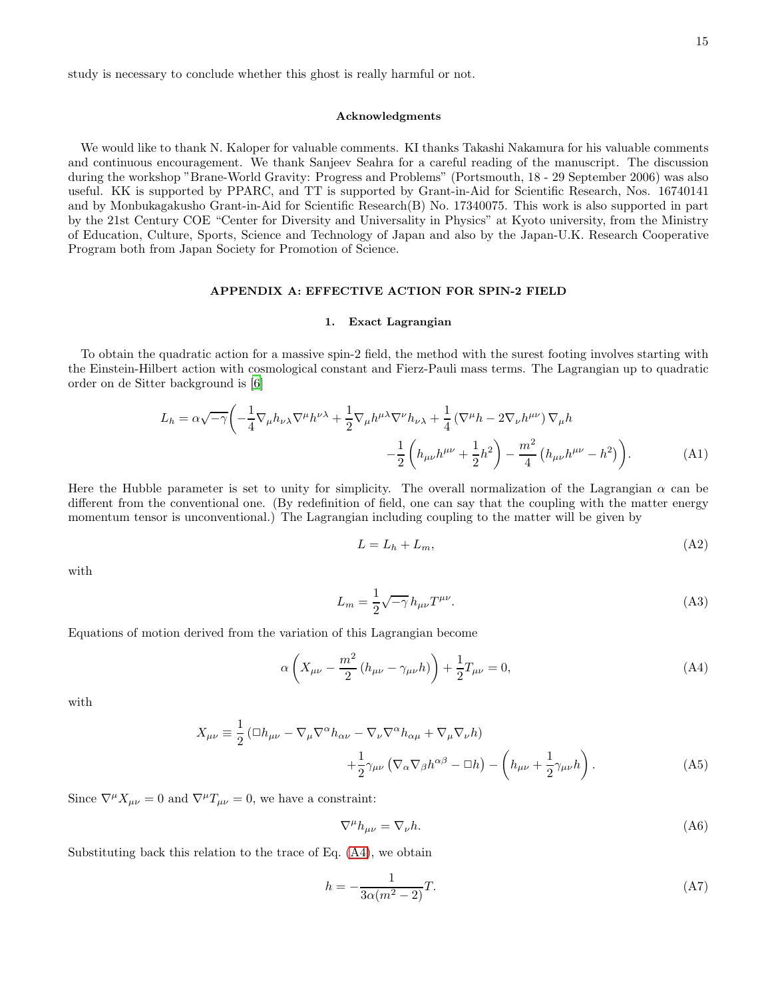study is necessary to conclude whether this ghost is really harmful or not.

# Acknowledgments

We would like to thank N. Kaloper for valuable comments. KI thanks Takashi Nakamura for his valuable comments and continuous encouragement. We thank Sanjeev Seahra for a careful reading of the manuscript. The discussion during the workshop "Brane-World Gravity: Progress and Problems" (Portsmouth, 18 - 29 September 2006) was also useful. KK is supported by PPARC, and TT is supported by Grant-in-Aid for Scientific Research, Nos. 16740141 and by Monbukagakusho Grant-in-Aid for Scientific Research(B) No. 17340075. This work is also supported in part by the 21st Century COE "Center for Diversity and Universality in Physics" at Kyoto university, from the Ministry of Education, Culture, Sports, Science and Technology of Japan and also by the Japan-U.K. Research Cooperative Program both from Japan Society for Promotion of Science.

# APPENDIX A: EFFECTIVE ACTION FOR SPIN-2 FIELD

### 1. Exact Lagrangian

To obtain the quadratic action for a massive spin-2 field, the method with the surest footing involves starting with the Einstein-Hilbert action with cosmological constant and Fierz-Pauli mass terms. The Lagrangian up to quadratic order on de Sitter background is [\[6](#page-18-5)]

$$
L_h = \alpha \sqrt{-\gamma} \left( -\frac{1}{4} \nabla_\mu h_{\nu \lambda} \nabla^\mu h^{\nu \lambda} + \frac{1}{2} \nabla_\mu h^{\mu \lambda} \nabla^\nu h_{\nu \lambda} + \frac{1}{4} \left( \nabla^\mu h - 2 \nabla_\nu h^{\mu \nu} \right) \nabla_\mu h - \frac{1}{2} \left( h_{\mu \nu} h^{\mu \nu} + \frac{1}{2} h^2 \right) - \frac{m^2}{4} \left( h_{\mu \nu} h^{\mu \nu} - h^2 \right) \right). \tag{A1}
$$

Here the Hubble parameter is set to unity for simplicity. The overall normalization of the Lagrangian  $\alpha$  can be different from the conventional one. (By redefinition of field, one can say that the coupling with the matter energy momentum tensor is unconventional.) The Lagrangian including coupling to the matter will be given by

$$
L = L_h + L_m,\tag{A2}
$$

with

$$
L_m = \frac{1}{2}\sqrt{-\gamma}h_{\mu\nu}T^{\mu\nu}.
$$
 (A3)

Equations of motion derived from the variation of this Lagrangian become

<span id="page-14-1"></span>
$$
\alpha \left( X_{\mu\nu} - \frac{m^2}{2} \left( h_{\mu\nu} - \gamma_{\mu\nu} h \right) \right) + \frac{1}{2} T_{\mu\nu} = 0, \tag{A4}
$$

with

$$
X_{\mu\nu} \equiv \frac{1}{2} \left( \Box h_{\mu\nu} - \nabla_{\mu} \nabla^{\alpha} h_{\alpha\nu} - \nabla_{\nu} \nabla^{\alpha} h_{\alpha\mu} + \nabla_{\mu} \nabla_{\nu} h \right) + \frac{1}{2} \gamma_{\mu\nu} \left( \nabla_{\alpha} \nabla_{\beta} h^{\alpha\beta} - \Box h \right) - \left( h_{\mu\nu} + \frac{1}{2} \gamma_{\mu\nu} h \right).
$$
 (A5)

Since  $\nabla^{\mu}X_{\mu\nu} = 0$  and  $\nabla^{\mu}T_{\mu\nu} = 0$ , we have a constraint:

1

<span id="page-14-2"></span>
$$
\nabla^{\mu}h_{\mu\nu} = \nabla_{\nu}h. \tag{A6}
$$

Substituting back this relation to the trace of Eq. [\(A4\)](#page-14-1), we obtain

<span id="page-14-0"></span>
$$
h = -\frac{1}{3\alpha(m^2 - 2)}T.\tag{A7}
$$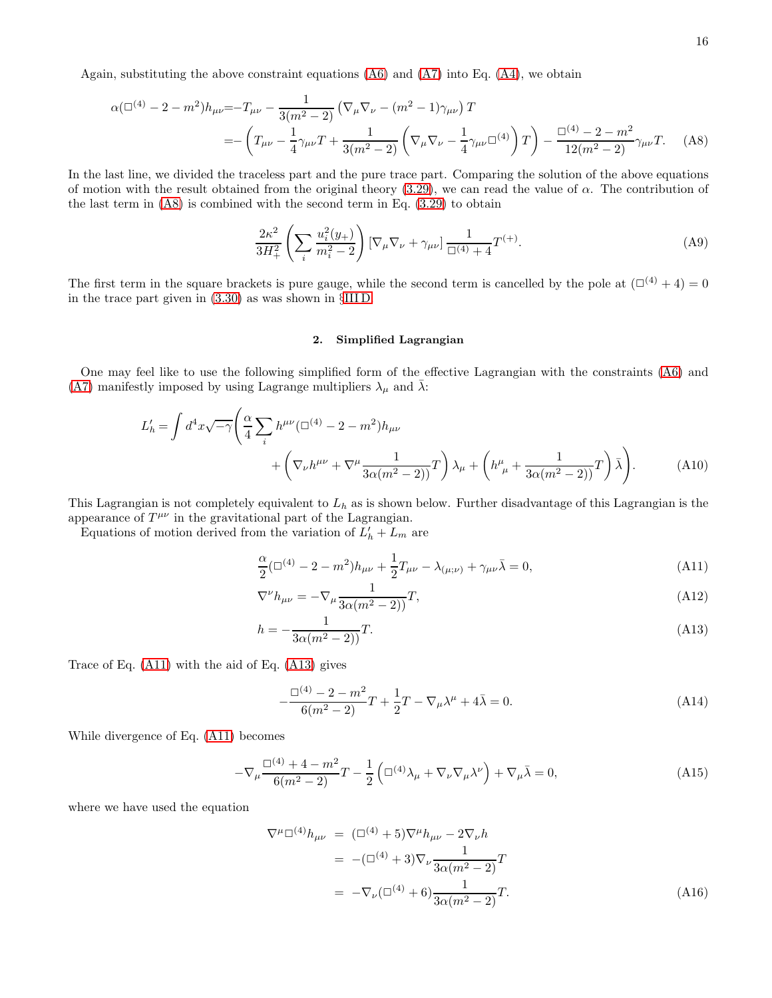Again, substituting the above constraint equations  $(A6)$  and  $(A7)$  into Eq.  $(A4)$ , we obtain

<span id="page-15-0"></span>
$$
\alpha (\square^{(4)} - 2 - m^2) h_{\mu\nu} = -T_{\mu\nu} - \frac{1}{3(m^2 - 2)} \left( \nabla_{\mu} \nabla_{\nu} - (m^2 - 1) \gamma_{\mu\nu} \right) T
$$
  
= 
$$
- \left( T_{\mu\nu} - \frac{1}{4} \gamma_{\mu\nu} T + \frac{1}{3(m^2 - 2)} \left( \nabla_{\mu} \nabla_{\nu} - \frac{1}{4} \gamma_{\mu\nu} \square^{(4)} \right) T \right) - \frac{\square^{(4)} - 2 - m^2}{12(m^2 - 2)} \gamma_{\mu\nu} T. \tag{A8}
$$

In the last line, we divided the traceless part and the pure trace part. Comparing the solution of the above equations of motion with the result obtained from the original theory [\(3.29\)](#page-10-0), we can read the value of  $\alpha$ . The contribution of the last term in  $(A8)$  is combined with the second term in Eq.  $(3.29)$  to obtain

$$
\frac{2\kappa^2}{3H_+^2} \left( \sum_i \frac{u_i^2(y_+)}{m_i^2 - 2} \right) \left[ \nabla_\mu \nabla_\nu + \gamma_{\mu\nu} \right] \frac{1}{\Box^{(4)} + 4} T^{(+)}.\tag{A9}
$$

The first term in the square brackets is pure gauge, while the second term is cancelled by the pole at  $(\Box^{(4)} + 4) = 0$ in the trace part given in [\(3.30\)](#page-10-5) as was shown in §[III D.](#page-10-1)

# 2. Simplified Lagrangian

One may feel like to use the following simplified form of the effective Lagrangian with the constraints [\(A6\)](#page-14-2) and [\(A7\)](#page-14-0) manifestly imposed by using Lagrange multipliers  $\lambda_{\mu}$  and  $\bar{\lambda}$ :

$$
L'_{h} = \int d^{4}x \sqrt{-\gamma} \left( \frac{\alpha}{4} \sum_{i} h^{\mu\nu} (\Box^{(4)} - 2 - m^{2}) h_{\mu\nu} + \left( \nabla_{\nu} h^{\mu\nu} + \nabla^{\mu} \frac{1}{3\alpha(m^{2} - 2)} T \right) \lambda_{\mu} + \left( h^{\mu}_{\ \mu} + \frac{1}{3\alpha(m^{2} - 2)} T \right) \bar{\lambda} \right). \tag{A10}
$$

This Lagrangian is not completely equivalent to  $L<sub>h</sub>$  as is shown below. Further disadvantage of this Lagrangian is the appearance of  $T^{\mu\nu}$  in the gravitational part of the Lagrangian.

Equations of motion derived from the variation of  $L'_h + L_m$  are

<span id="page-15-1"></span>
$$
\frac{\alpha}{2}(\Box^{(4)} - 2 - m^2)h_{\mu\nu} + \frac{1}{2}T_{\mu\nu} - \lambda_{(\mu;\nu)} + \gamma_{\mu\nu}\bar{\lambda} = 0,
$$
\n(A11)

$$
\nabla^{\nu}h_{\mu\nu} = -\nabla_{\mu}\frac{1}{3\alpha(m^2-2)}T,
$$
\n(A12)

$$
h = -\frac{1}{3\alpha(m^2 - 2)}T.
$$
\n(A13)

Trace of Eq. [\(A11\)](#page-15-1) with the aid of Eq. [\(A13\)](#page-15-1) gives

<span id="page-15-2"></span>
$$
-\frac{\Box^{(4)} - 2 - m^2}{6(m^2 - 2)}T + \frac{1}{2}T - \nabla_{\mu}\lambda^{\mu} + 4\bar{\lambda} = 0.
$$
 (A14)

While divergence of Eq. [\(A11\)](#page-15-1) becomes

<span id="page-15-3"></span>
$$
-\nabla_{\mu}\frac{\Box^{(4)} + 4 - m^2}{6(m^2 - 2)}T - \frac{1}{2}\left(\Box^{(4)}\lambda_{\mu} + \nabla_{\nu}\nabla_{\mu}\lambda^{\nu}\right) + \nabla_{\mu}\bar{\lambda} = 0,
$$
\n(A15)

where we have used the equation

$$
\nabla^{\mu} \Box^{(4)} h_{\mu\nu} = (\Box^{(4)} + 5) \nabla^{\mu} h_{\mu\nu} - 2 \nabla_{\nu} h
$$
  
= -(\Box^{(4)} + 3) \nabla\_{\nu} \frac{1}{3\alpha (m^2 - 2)} T  
= -\nabla\_{\nu} (\Box^{(4)} + 6) \frac{1}{3\alpha (m^2 - 2)} T. (A16)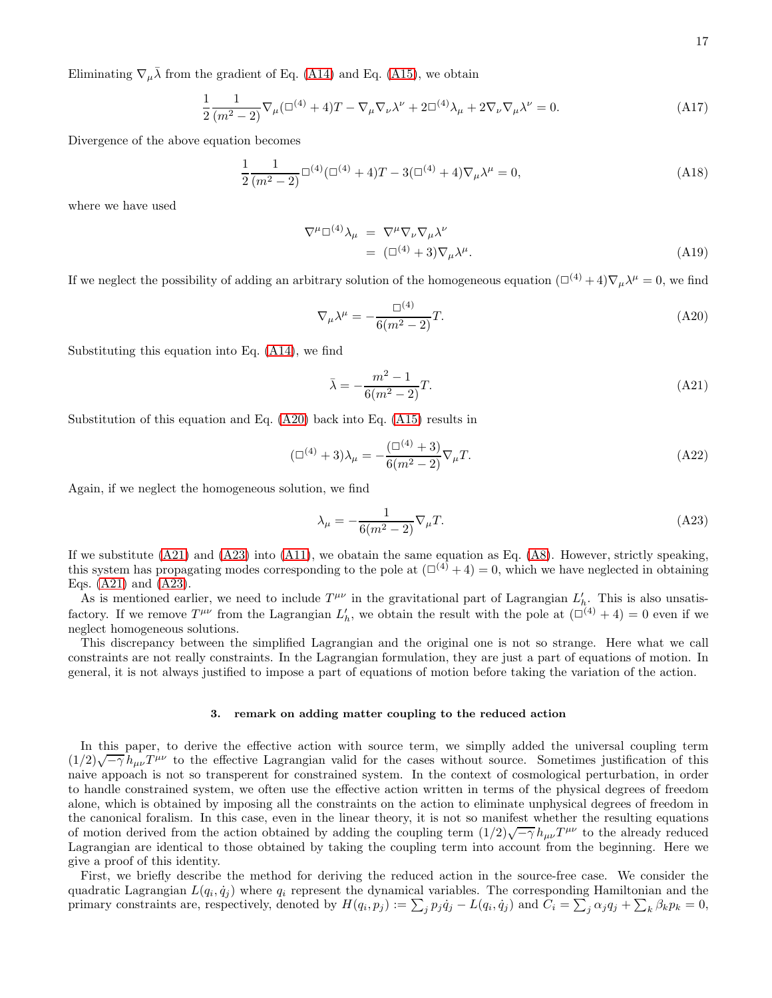Eliminating  $\nabla_{\mu} \bar{\lambda}$  from the gradient of Eq. [\(A14\)](#page-15-2) and Eq. [\(A15\)](#page-15-3), we obtain

$$
\frac{1}{2} \frac{1}{(m^2 - 2)} \nabla_{\mu} (\Box^{(4)} + 4) T - \nabla_{\mu} \nabla_{\nu} \lambda^{\nu} + 2 \Box^{(4)} \lambda_{\mu} + 2 \nabla_{\nu} \nabla_{\mu} \lambda^{\nu} = 0.
$$
 (A17)

Divergence of the above equation becomes

$$
\frac{1}{2} \frac{1}{(m^2 - 2)} \Box^{(4)} (\Box^{(4)} + 4) T - 3 (\Box^{(4)} + 4) \nabla_{\mu} \lambda^{\mu} = 0,
$$
\n(A18)

where we have used

$$
\nabla^{\mu} \Box^{(4)} \lambda_{\mu} = \nabla^{\mu} \nabla_{\nu} \nabla_{\mu} \lambda^{\nu}
$$
  
= 
$$
(\Box^{(4)} + 3) \nabla_{\mu} \lambda^{\mu}.
$$
 (A19)

If we neglect the possibility of adding an arbitrary solution of the homogeneous equation  $(\Box^{(4)} + 4)\nabla_{\mu}\lambda^{\mu} = 0$ , we find

<span id="page-16-0"></span>
$$
\nabla_{\mu}\lambda^{\mu} = -\frac{\Box^{(4)}}{6(m^2 - 2)}T.
$$
\n(A20)

Substituting this equation into Eq. [\(A14\)](#page-15-2), we find

<span id="page-16-1"></span>
$$
\bar{\lambda} = -\frac{m^2 - 1}{6(m^2 - 2)}T.
$$
\n(A21)

Substitution of this equation and Eq. [\(A20\)](#page-16-0) back into Eq. [\(A15\)](#page-15-3) results in

$$
(\Box^{(4)} + 3)\lambda_{\mu} = -\frac{(\Box^{(4)} + 3)}{6(m^2 - 2)}\nabla_{\mu}T.
$$
\n(A22)

Again, if we neglect the homogeneous solution, we find

<span id="page-16-2"></span>
$$
\lambda_{\mu} = -\frac{1}{6(m^2 - 2)} \nabla_{\mu} T. \tag{A23}
$$

If we substitute  $(A21)$  and  $(A23)$  into  $(A11)$ , we obatain the same equation as Eq.  $(A8)$ . However, strictly speaking, this system has propagating modes corresponding to the pole at  $(\Box^{(4)} + 4) = 0$ , which we have neglected in obtaining Eqs. [\(A21\)](#page-16-1) and [\(A23\)](#page-16-2).

As is mentioned earlier, we need to include  $T^{\mu\nu}$  in the gravitational part of Lagrangian  $L'_h$ . This is also unsatisfactory. If we remove  $T^{\mu\nu}$  from the Lagrangian  $L'_h$ , we obtain the result with the pole at  $(\Box^{(4)} + 4) = 0$  even if we neglect homogeneous solutions.

This discrepancy between the simplified Lagrangian and the original one is not so strange. Here what we call constraints are not really constraints. In the Lagrangian formulation, they are just a part of equations of motion. In general, it is not always justified to impose a part of equations of motion before taking the variation of the action.

### 3. remark on adding matter coupling to the reduced action

In this paper, to derive the effective action with source term, we simplly added the universal coupling term  $(1/2)\sqrt{-\gamma}h_{\mu\nu}T^{\mu\nu}$  to the effective Lagrangian valid for the cases without source. Sometimes justification of this naive appoach is not so transperent for constrained system. In the context of cosmological perturbation, in order to handle constrained system, we often use the effective action written in terms of the physical degrees of freedom alone, which is obtained by imposing all the constraints on the action to eliminate unphysical degrees of freedom in the canonical foralism. In this case, even in the linear theory, it is not so manifest whether the resulting equations of motion derived from the action obtained by adding the coupling term  $(1/2)\sqrt{-\gamma} h_{\mu\nu}T^{\mu\nu}$  to the already reduced Lagrangian are identical to those obtained by taking the coupling term into account from the beginning. Here we give a proof of this identity.

First, we briefly describe the method for deriving the reduced action in the source-free case. We consider the quadratic Lagrangian  $L(q_i, \dot{q}_j)$  where  $q_i$  represent the dynamical variables. The corresponding Hamiltonian and the primary constraints are, respectively, denoted by  $H(q_i, p_j) := \sum_j p_j \dot{q}_j - L(q_i, \dot{q}_j)$  and  $C_i = \sum_j \alpha_j q_j + \sum_k \beta_k p_k = 0$ ,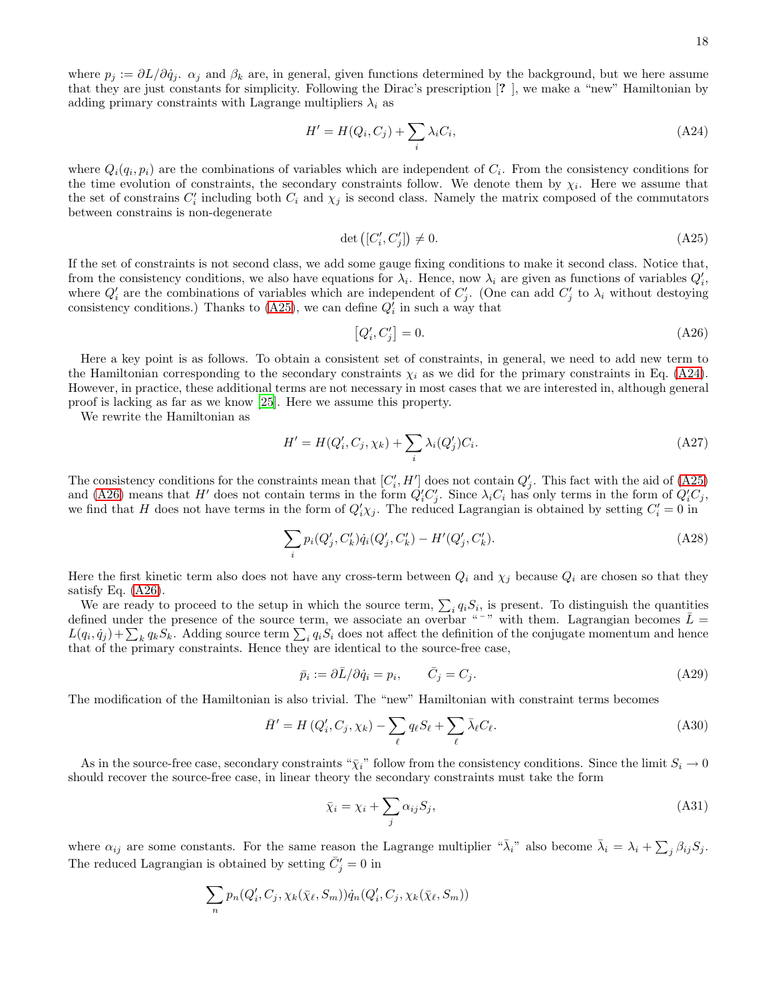where  $p_j := \partial L/\partial \dot{q}_j$ .  $\alpha_j$  and  $\beta_k$  are, in general, given functions determined by the background, but we here assume that they are just constants for simplicity. Following the Dirac's prescription [? ], we make a "new" Hamiltonian by adding primary constraints with Lagrange multipliers  $\lambda_i$  as

<span id="page-17-1"></span>
$$
H' = H(Q_i, C_j) + \sum_i \lambda_i C_i,
$$
\n(A24)

where  $Q_i(q_i, p_i)$  are the combinations of variables which are independent of  $C_i$ . From the consistency conditions for the time evolution of constraints, the secondary constraints follow. We denote them by  $\chi_i$ . Here we assume that the set of constrains  $C_i'$  including both  $C_i$  and  $\chi_j$  is second class. Namely the matrix composed of the commutators between constrains is non-degenerate

<span id="page-17-0"></span>
$$
\det\left([C_i', C_j']\right) \neq 0. \tag{A25}
$$

If the set of constraints is not second class, we add some gauge fixing conditions to make it second class. Notice that, from the consistency conditions, we also have equations for  $\lambda_i$ . Hence, now  $\lambda_i$  are given as functions of variables  $Q'_i$ , where  $Q'_i$  are the combinations of variables which are independent of  $C'_j$ . (One can add  $C'_j$  to  $\lambda_i$  without destoying consistency conditions.) Thanks to [\(A25\)](#page-17-0), we can define  $Q'_{i}$  in such a way that

<span id="page-17-2"></span>
$$
[Q_i', C_j'] = 0.\t\t(A26)
$$

Here a key point is as follows. To obtain a consistent set of constraints, in general, we need to add new term to the Hamiltonian corresponding to the secondary constraints  $\chi_i$  as we did for the primary constraints in Eq. [\(A24\)](#page-17-1). However, in practice, these additional terms are not necessary in most cases that we are interested in, although general proof is lacking as far as we know [\[25\]](#page-18-23). Here we assume this property.

We rewrite the Hamiltonian as

$$
H' = H(Q'_i, C_j, \chi_k) + \sum_i \lambda_i(Q'_j)C_i.
$$
\n(A27)

The consistency conditions for the constraints mean that  $[C_i', H']$  does not contain  $Q_j'$ . This fact with the aid of [\(A25\)](#page-17-0) and [\(A26\)](#page-17-2) means that H' does not contain terms in the form  $Q_i'C_j'$ . Since  $\lambda_iC_i$  has only terms in the form of  $Q_i'C_j$ , we find that H does not have terms in the form of  $Q'_i\chi_j$ . The reduced Lagrangian is obtained by setting  $C'_i=0$  in

$$
\sum_{i} p_i(Q'_j, C'_k) \dot{q}_i(Q'_j, C'_k) - H'(Q'_j, C'_k).
$$
\n(A28)

Here the first kinetic term also does not have any cross-term between  $Q_i$  and  $\chi_j$  because  $Q_i$  are chosen so that they satisfy Eq. [\(A26\)](#page-17-2).

We are ready to proceed to the setup in which the source term,  $\sum_i q_i S_i$ , is present. To distinguish the quantities defined under the presence of the source term, we associate an overbar "<sup>-</sup>" with them. Lagrangian becomes  $\bar{L}$  =  $L(q_i, \dot{q}_j) + \sum_k q_k S_k$ . Adding source term  $\sum_i q_i S_i$  does not affect the definition of the conjugate momentum and hence that of the primary constraints. Hence they are identical to the source-free case,

$$
\bar{p}_i := \partial \bar{L}/\partial \dot{q}_i = p_i, \qquad \bar{C}_j = C_j. \tag{A29}
$$

The modification of the Hamiltonian is also trivial. The "new" Hamiltonian with constraint terms becomes

$$
\bar{H}' = H(Q'_i, C_j, \chi_k) - \sum_{\ell} q_{\ell} S_{\ell} + \sum_{\ell} \bar{\lambda}_{\ell} C_{\ell}.
$$
\n(A30)

As in the source-free case, secondary constraints " $\tilde{\chi}_i$ " follow from the consistency conditions. Since the limit  $S_i \to 0$ should recover the source-free case, in linear theory the secondary constraints must take the form

$$
\bar{\chi}_i = \chi_i + \sum_j \alpha_{ij} S_j,\tag{A31}
$$

where  $\alpha_{ij}$  are some constants. For the same reason the Lagrange multiplier " $\bar{\lambda}_i$ " also become  $\bar{\lambda}_i = \lambda_i + \sum_j \beta_{ij} S_j$ . The reduced Lagrangian is obtained by setting  $\bar{C}'_j = 0$  in

$$
\sum_n p_n(Q'_i, C_j, \chi_k(\bar{\chi}_{\ell}, S_m))\dot{q}_n(Q'_i, C_j, \chi_k(\bar{\chi}_{\ell}, S_m))
$$